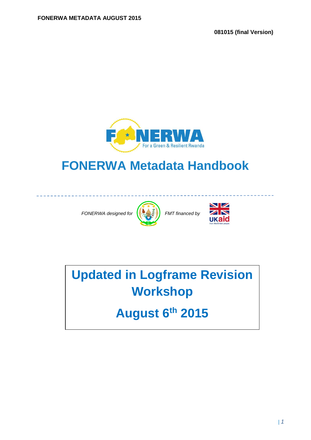**081015 (final Version)** 



## **FONERWA Metadata Handbook**

*FONERWA designed for*  $\left(\frac{1}{2}, \frac{1}{2}\right)$  *FMT financed by* 





**Updated in Logframe Revision Workshop** 

**August 6th 2015**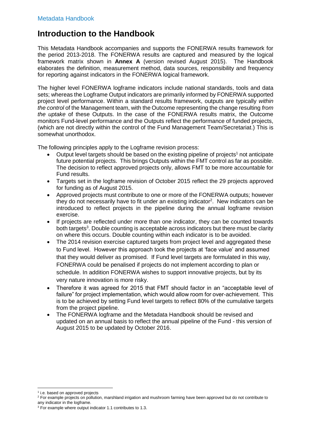### **Introduction to the Handbook**

This Metadata Handbook accompanies and supports the FONERWA results framework for the period 2013-2018. The FONERWA results are captured and measured by the logical framework matrix shown in **Annex A** (version revised August 2015). The Handbook elaborates the definition, measurement method, data sources, responsibility and frequency for reporting against indicators in the FONERWA logical framework.

The higher level FONERWA logframe indicators include national standards, tools and data sets; whereas the Logframe Output indicators are primarily informed by FONERWA supported project level performance. Within a standard results framework, outputs are typically *within the control* of the Management team, with the Outcome representing the change resulting *from the uptake* of these Outputs. In the case of the FONERWA results matrix, the Outcome monitors Fund-level performance and the Outputs reflect the performance of funded projects, (which are not directly within the control of the Fund Management Team/Secretariat.) This is somewhat unorthodox.

The following principles apply to the Logframe revision process:

- $\bullet$  Output level targets should be based on the existing pipeline of projects<sup>1</sup> not anticipate future potential projects. This brings Outputs within the FMT control as far as possible. The decision to reflect approved projects only, allows FMT to be more accountable for Fund results.
- Targets set in the logframe revision of October 2015 reflect the 29 projects approved for funding as of August 2015.
- Approved projects must contribute to one or more of the FONERWA outputs; however they do not necessarily have to fit under an existing indicator<sup>2</sup>. New indicators can be introduced to reflect projects in the pipeline during the annual logframe revision exercise.
- If projects are reflected under more than one indicator, they can be counted towards both targets<sup>3</sup>. Double counting is acceptable across indicators but there must be clarity on where this occurs. Double counting within each indicator is to be avoided.
- The 2014 revision exercise captured targets from project level and aggregated these to Fund level. However this approach took the projects at 'face value' and assumed that they would deliver as promised. If Fund level targets are formulated in this way, FONERWA could be penalised if projects do not implement according to plan or schedule. In addition FONERWA wishes to support innovative projects, but by its very nature innovation is more risky.
- Therefore it was agreed for 2015 that FMT should factor in an "acceptable level of failure" for project implementation, which would allow room for over-achievement. This is to be achieved by setting Fund level targets to reflect 80% of the cumulative targets from the project pipeline.
- The FONERWA logframe and the Metadata Handbook should be revised and updated on an annual basis to reflect the annual pipeline of the Fund - this version of August 2015 to be updated by October 2016.

<sup>-</sup><sup>1</sup> i.e. based on approved projects

<sup>&</sup>lt;sup>2</sup> For example projects on pollution, marshland irrigation and mushroom farming have been approved but do not contribute to any indicator in the logframe.

<sup>&</sup>lt;sup>3</sup> For example where output indicator 1.1 contributes to 1.3.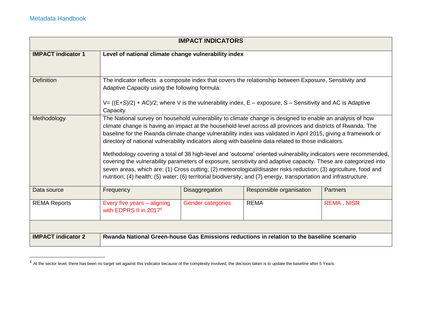| <b>IMPACT INDICATORS</b>  |                                                                                                                                                                                                                                                                                                                                                                                                                                                                                                                                                                                                                                                                                                                                                                                                                                                                                                                                     |                |                          |                 |  |
|---------------------------|-------------------------------------------------------------------------------------------------------------------------------------------------------------------------------------------------------------------------------------------------------------------------------------------------------------------------------------------------------------------------------------------------------------------------------------------------------------------------------------------------------------------------------------------------------------------------------------------------------------------------------------------------------------------------------------------------------------------------------------------------------------------------------------------------------------------------------------------------------------------------------------------------------------------------------------|----------------|--------------------------|-----------------|--|
| <b>IMPACT indicator 1</b> | Level of national climate change vulnerability index                                                                                                                                                                                                                                                                                                                                                                                                                                                                                                                                                                                                                                                                                                                                                                                                                                                                                |                |                          |                 |  |
| <b>Definition</b>         | The indicator reflects a composite index that covers the relationship between Exposure, Sensitivity and<br>Adaptive Capacity using the following formula:<br>$V = ((E+S)/2) + AC)/2$ ; where V is the vulnerability index, $E -$ exposure, S – Sensitivity and AC is Adaptive<br>Capacity.                                                                                                                                                                                                                                                                                                                                                                                                                                                                                                                                                                                                                                          |                |                          |                 |  |
| Methodology               | The National survey on household vulnerability to climate change is designed to enable an analysis of how<br>climate change is having an impact at the household level across all provinces and districts of Rwanda. The<br>baseline for the Rwanda climate change vulnerability index was validated in April 2015, giving a framework or<br>directory of national vulnerability indicators along with baseline data related to those indicators.<br>Methodology covering a total of 38 high-level and 'outcome' oriented vulnerability indicators were recommended,<br>covering the vulnerability parameters of exposure, sensitivity and adaptive capacity. These are categorized into<br>seven areas, which are: (1) Cross cutting; (2) meteorological/disaster risks reduction; (3) agriculture, food and<br>nutrition; (4) health; (5) water; (6) territorial biodiversity; and (7) energy, transportation and infrastructure. |                |                          |                 |  |
| Data source               | Frequency                                                                                                                                                                                                                                                                                                                                                                                                                                                                                                                                                                                                                                                                                                                                                                                                                                                                                                                           | Disaggregation | Responsible organisation | <b>Partners</b> |  |
| <b>REMA Reports</b>       | <b>REMA</b><br><b>REMA, NISR</b><br>Every five years - aligning<br><b>Gender categories</b><br>with EDPRS II in 2017 <sup>4</sup>                                                                                                                                                                                                                                                                                                                                                                                                                                                                                                                                                                                                                                                                                                                                                                                                   |                |                          |                 |  |
|                           |                                                                                                                                                                                                                                                                                                                                                                                                                                                                                                                                                                                                                                                                                                                                                                                                                                                                                                                                     |                |                          |                 |  |
| <b>IMPACT indicator 2</b> | Rwanda National Green-house Gas Emissions reductions in relation to the baseline scenario                                                                                                                                                                                                                                                                                                                                                                                                                                                                                                                                                                                                                                                                                                                                                                                                                                           |                |                          |                 |  |

 $^4$  At the sector level, there has been no target set against this indicator because of the complexity involved, the decision taken is to update the baseline after 5 Years.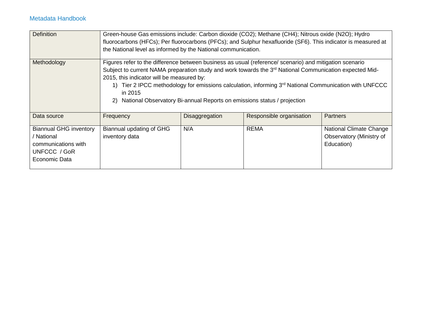| <b>Definition</b>                                                                                   | Green-house Gas emissions include: Carbon dioxide (CO2); Methane (CH4); Nitrous oxide (N2O); Hydro<br>fluorocarbons (HFCs); Per fluorocarbons (PFCs); and Sulphur hexafluoride (SF6). This indicator is measured at<br>the National level as informed by the National communication.                                                                                                                                                                                                   |                |                          |                                                                          |
|-----------------------------------------------------------------------------------------------------|----------------------------------------------------------------------------------------------------------------------------------------------------------------------------------------------------------------------------------------------------------------------------------------------------------------------------------------------------------------------------------------------------------------------------------------------------------------------------------------|----------------|--------------------------|--------------------------------------------------------------------------|
| Methodology                                                                                         | Figures refer to the difference between business as usual (reference/ scenario) and mitigation scenario<br>Subject to current NAMA preparation study and work towards the 3 <sup>rd</sup> National Communication expected Mid-<br>2015, this indicator will be measured by:<br>Tier 2 IPCC methodology for emissions calculation, informing $3rd$ National Communication with UNFCCC<br>1)<br>in 2015<br>National Observatory Bi-annual Reports on emissions status / projection<br>2) |                |                          |                                                                          |
| Data source                                                                                         | Frequency                                                                                                                                                                                                                                                                                                                                                                                                                                                                              | Disaggregation | Responsible organisation | <b>Partners</b>                                                          |
| <b>Biannual GHG inventory</b><br>/ National<br>communications with<br>UNFCCC / GoR<br>Economic Data | Biannual updating of GHG<br>inventory data                                                                                                                                                                                                                                                                                                                                                                                                                                             | N/A            | <b>REMA</b>              | <b>National Climate Change</b><br>Observatory (Ministry of<br>Education) |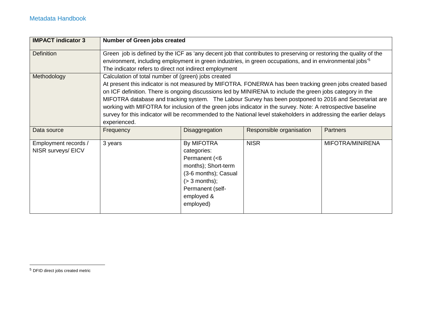| <b>IMPACT indicator 3</b>                  | <b>Number of Green jobs created</b>                                                                                                                                                                                                                                                                                                                                                                                                                                                                                                                                                                                                         |                                                                                                                                                                    |                          |                  |
|--------------------------------------------|---------------------------------------------------------------------------------------------------------------------------------------------------------------------------------------------------------------------------------------------------------------------------------------------------------------------------------------------------------------------------------------------------------------------------------------------------------------------------------------------------------------------------------------------------------------------------------------------------------------------------------------------|--------------------------------------------------------------------------------------------------------------------------------------------------------------------|--------------------------|------------------|
| <b>Definition</b>                          | Green job is defined by the ICF as 'any decent job that contributes to preserving or restoring the quality of the<br>environment, including employment in green industries, in green occupations, and in environmental jobs <sup>15</sup><br>The indicator refers to direct not indirect employment                                                                                                                                                                                                                                                                                                                                         |                                                                                                                                                                    |                          |                  |
| Methodology                                | Calculation of total number of (green) jobs created<br>At present this indicator is not measured by MIFOTRA. FONERWA has been tracking green jobs created based<br>on ICF definition. There is ongoing discussions led by MINIRENA to include the green jobs category in the<br>MIFOTRA database and tracking system. The Labour Survey has been postponed to 2016 and Secretariat are<br>working with MIFOTRA for inclusion of the green jobs indicator in the survey. Note: A retrospective baseline<br>survey for this indicator will be recommended to the National level stakeholders in addressing the earlier delays<br>experienced. |                                                                                                                                                                    |                          |                  |
| Data source                                | Frequency                                                                                                                                                                                                                                                                                                                                                                                                                                                                                                                                                                                                                                   | Disaggregation                                                                                                                                                     | Responsible organisation | <b>Partners</b>  |
| Employment records /<br>NISR surveys/ EICV | 3 years                                                                                                                                                                                                                                                                                                                                                                                                                                                                                                                                                                                                                                     | <b>By MIFOTRA</b><br>categories:<br>Permanent (<6<br>months); Short-term<br>(3-6 months); Casual<br>$(> 3$ months);<br>Permanent (self-<br>employed &<br>employed) | <b>NISR</b>              | MIFOTRA/MINIRENA |

<sup>5</sup> DFID direct jobs created metric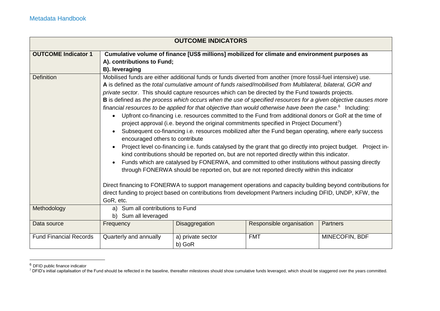|                                                 | <b>OUTCOME INDICATORS</b>                                                                                                                                                                                                                                                                                                                                                                                                                                                                                                                                                                                                                                                                                                                                                                                                                                                                                                                                                                                                                                                                                                                                                                                                                                                                                                                                                                                                                                                                                 |                             |                          |                 |  |
|-------------------------------------------------|-----------------------------------------------------------------------------------------------------------------------------------------------------------------------------------------------------------------------------------------------------------------------------------------------------------------------------------------------------------------------------------------------------------------------------------------------------------------------------------------------------------------------------------------------------------------------------------------------------------------------------------------------------------------------------------------------------------------------------------------------------------------------------------------------------------------------------------------------------------------------------------------------------------------------------------------------------------------------------------------------------------------------------------------------------------------------------------------------------------------------------------------------------------------------------------------------------------------------------------------------------------------------------------------------------------------------------------------------------------------------------------------------------------------------------------------------------------------------------------------------------------|-----------------------------|--------------------------|-----------------|--|
| <b>OUTCOME Indicator 1</b><br><b>Definition</b> | Cumulative volume of finance [US\$ millions] mobilized for climate and environment purposes as<br>A). contributions to Fund;<br>B). leveraging<br>Mobilised funds are either additional funds or funds diverted from another (more fossil-fuel intensive) use.                                                                                                                                                                                                                                                                                                                                                                                                                                                                                                                                                                                                                                                                                                                                                                                                                                                                                                                                                                                                                                                                                                                                                                                                                                            |                             |                          |                 |  |
|                                                 | A is defined as the total cumulative amount of funds raised/mobilised from Multilateral, bilateral, GOR and<br>private sector. This should capture resources which can be directed by the Fund towards projects.<br>B is defined as the process which occurs when the use of specified resources for a given objective causes more<br>financial resources to be applied for that objective than would otherwise have been the case. $6$ Including:<br>Upfront co-financing i.e. resources committed to the Fund from additional donors or GoR at the time of<br>$\bullet$<br>project approval (i.e. beyond the original commitments specified in Project Document <sup>7</sup> )<br>Subsequent co-financing i.e. resources mobilized after the Fund began operating, where early success<br>$\bullet$<br>encouraged others to contribute<br>Project level co-financing i.e. funds catalysed by the grant that go directly into project budget. Project in-<br>kind contributions should be reported on, but are not reported directly within this indicator.<br>Funds which are catalysed by FONERWA, and committed to other institutions without passing directly<br>$\bullet$<br>through FONERWA should be reported on, but are not reported directly within this indicator<br>Direct financing to FONERWA to support management operations and capacity building beyond contributions for<br>direct funding to project based on contributions from development Partners including DFID, UNDP, KFW, the |                             |                          |                 |  |
| Methodology                                     | a) Sum all contributions to Fund<br>b) Sum all leveraged                                                                                                                                                                                                                                                                                                                                                                                                                                                                                                                                                                                                                                                                                                                                                                                                                                                                                                                                                                                                                                                                                                                                                                                                                                                                                                                                                                                                                                                  |                             |                          |                 |  |
| Data source                                     | Frequency                                                                                                                                                                                                                                                                                                                                                                                                                                                                                                                                                                                                                                                                                                                                                                                                                                                                                                                                                                                                                                                                                                                                                                                                                                                                                                                                                                                                                                                                                                 | Disaggregation              | Responsible organisation | <b>Partners</b> |  |
| <b>Fund Financial Records</b>                   | Quarterly and annually                                                                                                                                                                                                                                                                                                                                                                                                                                                                                                                                                                                                                                                                                                                                                                                                                                                                                                                                                                                                                                                                                                                                                                                                                                                                                                                                                                                                                                                                                    | a) private sector<br>b) GoR | <b>FMT</b>               | MINECOFIN, BDF  |  |

<sup>&</sup>lt;sup>6</sup> DFID public finance indicator

 $\overline{a}$ 

<sup>&</sup>lt;sup>7</sup> DFID's initial capitalisation of the Fund should be reflected in the baseline, thereafter milestones should show cumulative funds leveraged, which should be staggered over the years committed.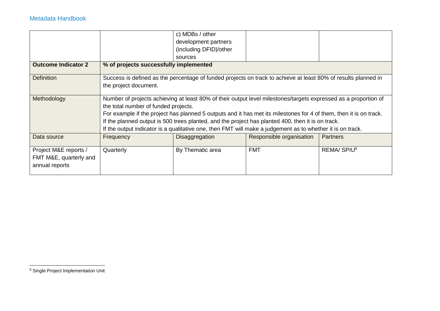|                            |                                        | c) MDBs / other        |                                                                                                                    |                        |
|----------------------------|----------------------------------------|------------------------|--------------------------------------------------------------------------------------------------------------------|------------------------|
|                            |                                        | development partners   |                                                                                                                    |                        |
|                            |                                        | (including DFID)/other |                                                                                                                    |                        |
|                            |                                        |                        |                                                                                                                    |                        |
|                            |                                        | sources                |                                                                                                                    |                        |
| <b>Outcome Indicator 2</b> | % of projects successfully implemented |                        |                                                                                                                    |                        |
|                            |                                        |                        |                                                                                                                    |                        |
| <b>Definition</b>          |                                        |                        | Success is defined as the percentage of funded projects on track to achieve at least 80% of results planned in     |                        |
|                            | the project document.                  |                        |                                                                                                                    |                        |
|                            |                                        |                        |                                                                                                                    |                        |
| Methodology                |                                        |                        | Number of projects achieving at least 80% of their output level milestones/targets expressed as a proportion of    |                        |
|                            | the total number of funded projects.   |                        |                                                                                                                    |                        |
|                            |                                        |                        | For example if the project has planned 5 outputs and it has met its milestones for 4 of them, then it is on track. |                        |
|                            |                                        |                        | If the planned output is 500 trees planted, and the project has planted 400, then it is on track.                  |                        |
|                            |                                        |                        | If the output indicator is a qualitative one, then FMT will make a judgement as to whether it is on track.         |                        |
|                            |                                        |                        |                                                                                                                    |                        |
| Data source                | Frequency                              | <b>Disaggregation</b>  | Responsible organisation                                                                                           | <b>Partners</b>        |
|                            |                                        |                        |                                                                                                                    |                        |
| Project M&E reports /      | Quarterly                              | By Thematic area       | <b>FMT</b>                                                                                                         | REMA/SPIU <sup>8</sup> |
| FMT M&E, quarterly and     |                                        |                        |                                                                                                                    |                        |
| annual reports             |                                        |                        |                                                                                                                    |                        |
|                            |                                        |                        |                                                                                                                    |                        |

<sup>&</sup>lt;sup>8</sup> Single Project Implementation Unit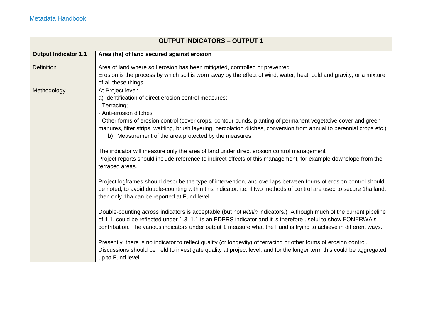|                             | <b>OUTPUT INDICATORS - OUTPUT 1</b>                                                                                                                                                                                                                                                                                                                     |
|-----------------------------|---------------------------------------------------------------------------------------------------------------------------------------------------------------------------------------------------------------------------------------------------------------------------------------------------------------------------------------------------------|
| <b>Output Indicator 1.1</b> | Area (ha) of land secured against erosion                                                                                                                                                                                                                                                                                                               |
| <b>Definition</b>           | Area of land where soil erosion has been mitigated, controlled or prevented                                                                                                                                                                                                                                                                             |
|                             | Erosion is the process by which soil is worn away by the effect of wind, water, heat, cold and gravity, or a mixture<br>of all these things.                                                                                                                                                                                                            |
| Methodology                 | At Project level:                                                                                                                                                                                                                                                                                                                                       |
|                             | a) Identification of direct erosion control measures:                                                                                                                                                                                                                                                                                                   |
|                             | - Terracing;                                                                                                                                                                                                                                                                                                                                            |
|                             | - Anti-erosion ditches                                                                                                                                                                                                                                                                                                                                  |
|                             | - Other forms of erosion control (cover crops, contour bunds, planting of permanent vegetative cover and green<br>manures, filter strips, wattling, brush layering, percolation ditches, conversion from annual to perennial crops etc.)<br>b) Measurement of the area protected by the measures                                                        |
|                             | The indicator will measure only the area of land under direct erosion control management.<br>Project reports should include reference to indirect effects of this management, for example downslope from the<br>terraced areas.                                                                                                                         |
|                             | Project logframes should describe the type of intervention, and overlaps between forms of erosion control should<br>be noted, to avoid double-counting within this indicator. i.e. if two methods of control are used to secure 1ha land,<br>then only 1ha can be reported at Fund level.                                                               |
|                             | Double-counting across indicators is acceptable (but not within indicators.) Although much of the current pipeline<br>of 1.1, could be reflected under 1.3, 1.1 is an EDPRS indicator and it is therefore useful to show FONERWA's<br>contribution. The various indicators under output 1 measure what the Fund is trying to achieve in different ways. |
|                             | Presently, there is no indicator to reflect quality (or longevity) of terracing or other forms of erosion control.<br>Discussions should be held to investigate quality at project level, and for the longer term this could be aggregated<br>up to Fund level.                                                                                         |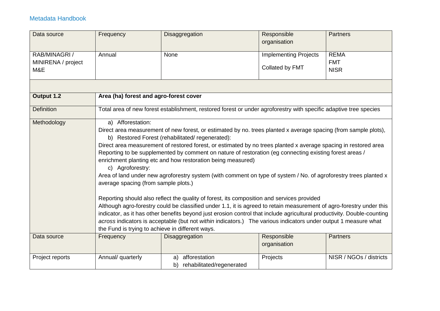| Data source        | Frequency                                        | Disaggregation                                                                                                                                                                                                     | Responsible                  | <b>Partners</b>         |
|--------------------|--------------------------------------------------|--------------------------------------------------------------------------------------------------------------------------------------------------------------------------------------------------------------------|------------------------------|-------------------------|
|                    |                                                  |                                                                                                                                                                                                                    | organisation                 |                         |
| RAB/MINAGRI/       | Annual                                           | None                                                                                                                                                                                                               | <b>Implementing Projects</b> | <b>REMA</b>             |
| MINIRENA / project |                                                  |                                                                                                                                                                                                                    |                              | <b>FMT</b>              |
| M&E                |                                                  |                                                                                                                                                                                                                    | Collated by FMT              | <b>NISR</b>             |
|                    |                                                  |                                                                                                                                                                                                                    |                              |                         |
| Output 1.2         | Area (ha) forest and agro-forest cover           |                                                                                                                                                                                                                    |                              |                         |
| <b>Definition</b>  |                                                  | Total area of new forest establishment, restored forest or under agroforestry with specific adaptive tree species                                                                                                  |                              |                         |
| Methodology        | a) Afforestation:                                |                                                                                                                                                                                                                    |                              |                         |
|                    |                                                  | Direct area measurement of new forest, or estimated by no. trees planted x average spacing (from sample plots),                                                                                                    |                              |                         |
|                    |                                                  | b) Restored Forest (rehabilitated/regenerated):<br>Direct area measurement of restored forest, or estimated by no trees planted x average spacing in restored area                                                 |                              |                         |
|                    |                                                  | Reporting to be supplemented by comment on nature of restoration (eg connecting existing forest areas /                                                                                                            |                              |                         |
|                    |                                                  | enrichment planting etc and how restoration being measured)                                                                                                                                                        |                              |                         |
|                    | c) Agroforestry:                                 |                                                                                                                                                                                                                    |                              |                         |
|                    |                                                  | Area of land under new agroforestry system (with comment on type of system / No. of agroforestry trees planted x                                                                                                   |                              |                         |
|                    | average spacing (from sample plots.)             |                                                                                                                                                                                                                    |                              |                         |
|                    |                                                  |                                                                                                                                                                                                                    |                              |                         |
|                    |                                                  | Reporting should also reflect the quality of forest, its composition and services provided<br>Although agro-forestry could be classified under 1.1, it is agreed to retain measurement of agro-forestry under this |                              |                         |
|                    |                                                  | indicator, as it has other benefits beyond just erosion control that include agricultural productivity. Double-counting                                                                                            |                              |                         |
|                    |                                                  | across indicators is acceptable (but not within indicators.) The various indicators under output 1 measure what                                                                                                    |                              |                         |
|                    | the Fund is trying to achieve in different ways. |                                                                                                                                                                                                                    |                              |                         |
| Data source        | Frequency                                        | Disaggregation                                                                                                                                                                                                     | Responsible                  | <b>Partners</b>         |
|                    |                                                  |                                                                                                                                                                                                                    | organisation                 |                         |
| Project reports    | Annual/ quarterly                                | afforestation<br>a)                                                                                                                                                                                                | Projects                     | NISR / NGOs / districts |
|                    |                                                  | rehabilitated/regenerated<br>b)                                                                                                                                                                                    |                              |                         |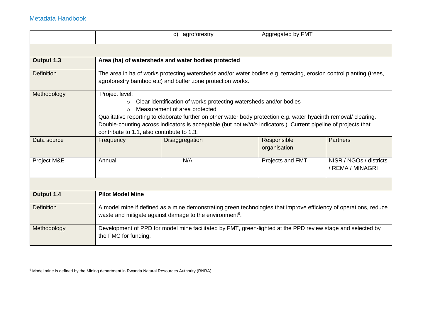$\overline{a}$ 

|                   |                                                                                                                                                                                                                                                                                                                                                                                                                                | c) agroforestry                                                                                                                                                                  | Aggregated by FMT           |                                             |  |
|-------------------|--------------------------------------------------------------------------------------------------------------------------------------------------------------------------------------------------------------------------------------------------------------------------------------------------------------------------------------------------------------------------------------------------------------------------------|----------------------------------------------------------------------------------------------------------------------------------------------------------------------------------|-----------------------------|---------------------------------------------|--|
|                   |                                                                                                                                                                                                                                                                                                                                                                                                                                |                                                                                                                                                                                  |                             |                                             |  |
| Output 1.3        |                                                                                                                                                                                                                                                                                                                                                                                                                                | Area (ha) of watersheds and water bodies protected                                                                                                                               |                             |                                             |  |
| <b>Definition</b> |                                                                                                                                                                                                                                                                                                                                                                                                                                | The area in ha of works protecting watersheds and/or water bodies e.g. terracing, erosion control planting (trees,<br>agroforestry bamboo etc) and buffer zone protection works. |                             |                                             |  |
| Methodology       | Project level:<br>Clear identification of works protecting watersheds and/or bodies<br>$\circ$<br>Measurement of area protected<br>$\circ$<br>Qualitative reporting to elaborate further on other water body protection e.g. water hyacinth removal/ clearing.<br>Double-counting across indicators is acceptable (but not within indicators.) Current pipeline of projects that<br>contribute to 1.1, also contribute to 1.3. |                                                                                                                                                                                  |                             |                                             |  |
| Data source       | Frequency                                                                                                                                                                                                                                                                                                                                                                                                                      | Disaggregation                                                                                                                                                                   | Responsible<br>organisation | Partners                                    |  |
| Project M&E       | Annual                                                                                                                                                                                                                                                                                                                                                                                                                         | N/A                                                                                                                                                                              | Projects and FMT            | NISR / NGOs / districts<br>/ REMA / MINAGRI |  |
|                   |                                                                                                                                                                                                                                                                                                                                                                                                                                |                                                                                                                                                                                  |                             |                                             |  |
| Output 1.4        | <b>Pilot Model Mine</b>                                                                                                                                                                                                                                                                                                                                                                                                        |                                                                                                                                                                                  |                             |                                             |  |
| <b>Definition</b> | A model mine if defined as a mine demonstrating green technologies that improve efficiency of operations, reduce<br>waste and mitigate against damage to the environment <sup>9</sup> .                                                                                                                                                                                                                                        |                                                                                                                                                                                  |                             |                                             |  |
| Methodology       | the FMC for funding.                                                                                                                                                                                                                                                                                                                                                                                                           | Development of PPD for model mine facilitated by FMT, green-lighted at the PPD review stage and selected by                                                                      |                             |                                             |  |

<sup>&</sup>lt;sup>9</sup> Model mine is defined by the Mining department in Rwanda Natural Resources Authority (RNRA)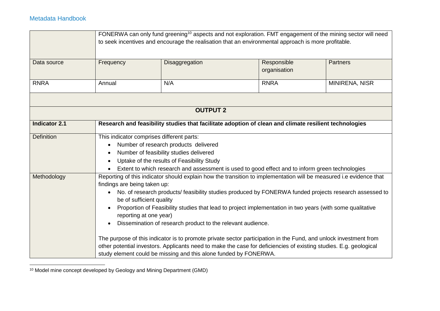|                      |                        | FONERWA can only fund greening <sup>10</sup> aspects and not exploration. FMT engagement of the mining sector will need<br>to seek incentives and encourage the realisation that an environmental approach is more profitable.                                                                                                                                                                                                                                                                                                                                                                                                                                                                                                                                                                                                                                                                                 |                             |                 |  |
|----------------------|------------------------|----------------------------------------------------------------------------------------------------------------------------------------------------------------------------------------------------------------------------------------------------------------------------------------------------------------------------------------------------------------------------------------------------------------------------------------------------------------------------------------------------------------------------------------------------------------------------------------------------------------------------------------------------------------------------------------------------------------------------------------------------------------------------------------------------------------------------------------------------------------------------------------------------------------|-----------------------------|-----------------|--|
|                      |                        |                                                                                                                                                                                                                                                                                                                                                                                                                                                                                                                                                                                                                                                                                                                                                                                                                                                                                                                |                             |                 |  |
| Data source          | Frequency              | Disaggregation                                                                                                                                                                                                                                                                                                                                                                                                                                                                                                                                                                                                                                                                                                                                                                                                                                                                                                 | Responsible<br>organisation | <b>Partners</b> |  |
| <b>RNRA</b>          | Annual                 | N/A                                                                                                                                                                                                                                                                                                                                                                                                                                                                                                                                                                                                                                                                                                                                                                                                                                                                                                            | <b>RNRA</b>                 | MINIRENA, NISR  |  |
|                      |                        |                                                                                                                                                                                                                                                                                                                                                                                                                                                                                                                                                                                                                                                                                                                                                                                                                                                                                                                |                             |                 |  |
|                      |                        | <b>OUTPUT 2</b>                                                                                                                                                                                                                                                                                                                                                                                                                                                                                                                                                                                                                                                                                                                                                                                                                                                                                                |                             |                 |  |
| <b>Indicator 2.1</b> |                        | Research and feasibility studies that facilitate adoption of clean and climate resilient technologies                                                                                                                                                                                                                                                                                                                                                                                                                                                                                                                                                                                                                                                                                                                                                                                                          |                             |                 |  |
| <b>Definition</b>    | $\bullet$<br>$\bullet$ | This indicator comprises different parts:<br>Number of research products delivered<br>Number of feasibility studies delivered<br>Uptake of the results of Feasibility Study                                                                                                                                                                                                                                                                                                                                                                                                                                                                                                                                                                                                                                                                                                                                    |                             |                 |  |
| Methodology          | $\bullet$              | Extent to which research and assessment is used to good effect and to inform green technologies<br>Reporting of this indicator should explain how the transition to implementation will be measured i.e evidence that<br>findings are being taken up:<br>No. of research products/ feasibility studies produced by FONERWA funded projects research assessed to<br>be of sufficient quality<br>Proportion of Feasibility studies that lead to project implementation in two years (with some qualitative<br>reporting at one year)<br>Dissemination of research product to the relevant audience.<br>The purpose of this indicator is to promote private sector participation in the Fund, and unlock investment from<br>other potential investors. Applicants need to make the case for deficiencies of existing studies. E.g. geological<br>study element could be missing and this alone funded by FONERWA. |                             |                 |  |

 <sup>10</sup> Model mine concept developed by Geology and Mining Department (GMD)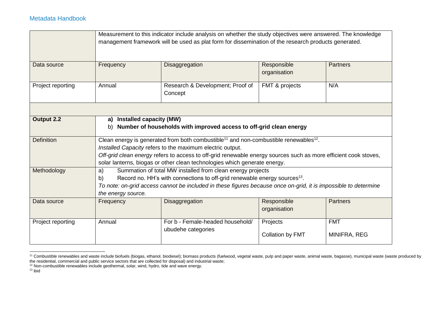|                   |                                | Measurement to this indicator include analysis on whether the study objectives were answered. The knowledge<br>management framework will be used as plat form for dissemination of the research products generated.                                                                                                                                                       |                              |                            |  |
|-------------------|--------------------------------|---------------------------------------------------------------------------------------------------------------------------------------------------------------------------------------------------------------------------------------------------------------------------------------------------------------------------------------------------------------------------|------------------------------|----------------------------|--|
| Data source       | Frequency                      | Disaggregation                                                                                                                                                                                                                                                                                                                                                            | Responsible<br>organisation  | <b>Partners</b>            |  |
| Project reporting | Annual                         | Research & Development; Proof of<br>Concept                                                                                                                                                                                                                                                                                                                               | FMT & projects               | N/A                        |  |
|                   |                                |                                                                                                                                                                                                                                                                                                                                                                           |                              |                            |  |
| Output 2.2        | a)<br>b)                       | <b>Installed capacity (MW)</b><br>Number of households with improved access to off-grid clean energy                                                                                                                                                                                                                                                                      |                              |                            |  |
| <b>Definition</b> |                                | Clean energy is generated from both combustible <sup>11</sup> and non-combustible renewables <sup>12</sup> .<br>Installed Capacity refers to the maximum electric output.<br>Off-grid clean energy refers to access to off-grid renewable energy sources such as more efficient cook stoves,<br>solar lanterns, biogas or other clean technologies which generate energy. |                              |                            |  |
| Methodology       | a)<br>b)<br>the energy source. | Summation of total MW installed from clean energy projects<br>Record no. HH's with connections to off-grid renewable energy sources <sup>13</sup> .<br>To note: on-grid access cannot be included in these figures because once on-grid, it is impossible to determine                                                                                                    |                              |                            |  |
| Data source       | Frequency                      | Disaggregation                                                                                                                                                                                                                                                                                                                                                            | Responsible<br>organisation  | <b>Partners</b>            |  |
| Project reporting | Annual                         | For b - Female-headed household/<br>ubudehe categories                                                                                                                                                                                                                                                                                                                    | Projects<br>Collation by FMT | <b>FMT</b><br>MINIFRA, REG |  |

 <sup>11</sup> Combustible renewables and waste include biofuels (biogas, ethanol, biodiesel); biomass products (fuelwood, vegetal waste, pulp and paper waste, animal waste, bagasse), municipal waste (waste produced by the residential, commercial and public service sectors that are collected for disposal) and industrial waste;

 $12$  Non-combustible renewables include geothermal, solar, wind, hydro, tide and wave energy.

 $13$  ibid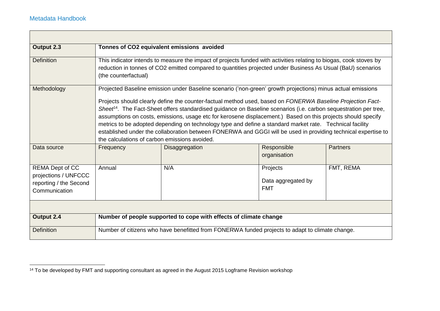<u> Tanzania (h. 1878).</u>

| Output 2.3                                                                                |                                                                                                                                                                                                                                                                                                                                                                                                                                                                                                                                                                                                                                                                                                                                                         | Tonnes of CO2 equivalent emissions avoided                                                                                                                                                                                        |                                              |                 |  |
|-------------------------------------------------------------------------------------------|---------------------------------------------------------------------------------------------------------------------------------------------------------------------------------------------------------------------------------------------------------------------------------------------------------------------------------------------------------------------------------------------------------------------------------------------------------------------------------------------------------------------------------------------------------------------------------------------------------------------------------------------------------------------------------------------------------------------------------------------------------|-----------------------------------------------------------------------------------------------------------------------------------------------------------------------------------------------------------------------------------|----------------------------------------------|-----------------|--|
| Definition                                                                                | (the counterfactual)                                                                                                                                                                                                                                                                                                                                                                                                                                                                                                                                                                                                                                                                                                                                    | This indicator intends to measure the impact of projects funded with activities relating to biogas, cook stoves by<br>reduction in tonnes of CO2 emitted compared to quantities projected under Business As Usual (BaU) scenarios |                                              |                 |  |
| Methodology                                                                               | Projected Baseline emission under Baseline scenario ('non-green' growth projections) minus actual emissions<br>Projects should clearly define the counter-factual method used, based on FONERWA Baseline Projection Fact-<br>Sheef <sup>14</sup> . The Fact-Sheet offers standardised guidance on Baseline scenarios (i.e. carbon sequestration per tree,<br>assumptions on costs, emissions, usage etc for kerosene displacement.) Based on this projects should specify<br>metrics to be adopted depending on technology type and define a standard market rate. Technical facility<br>established under the collaboration between FONERWA and GGGI will be used in providing technical expertise to<br>the calculations of carbon emissions avoided. |                                                                                                                                                                                                                                   |                                              |                 |  |
| Data source                                                                               | Frequency                                                                                                                                                                                                                                                                                                                                                                                                                                                                                                                                                                                                                                                                                                                                               | Disaggregation                                                                                                                                                                                                                    | Responsible<br>organisation                  | <b>Partners</b> |  |
| <b>REMA Dept of CC</b><br>projections / UNFCCC<br>reporting / the Second<br>Communication | Annual                                                                                                                                                                                                                                                                                                                                                                                                                                                                                                                                                                                                                                                                                                                                                  | N/A                                                                                                                                                                                                                               | Projects<br>Data aggregated by<br><b>FMT</b> | FMT, REMA       |  |
|                                                                                           |                                                                                                                                                                                                                                                                                                                                                                                                                                                                                                                                                                                                                                                                                                                                                         |                                                                                                                                                                                                                                   |                                              |                 |  |
| Output 2.4                                                                                |                                                                                                                                                                                                                                                                                                                                                                                                                                                                                                                                                                                                                                                                                                                                                         | Number of people supported to cope with effects of climate change                                                                                                                                                                 |                                              |                 |  |
| <b>Definition</b>                                                                         |                                                                                                                                                                                                                                                                                                                                                                                                                                                                                                                                                                                                                                                                                                                                                         | Number of citizens who have benefitted from FONERWA funded projects to adapt to climate change.                                                                                                                                   |                                              |                 |  |

 $\overline{\phantom{0}}$ 

 <sup>14</sup> To be developed by FMT and supporting consultant as agreed in the August 2015 Logframe Revision workshop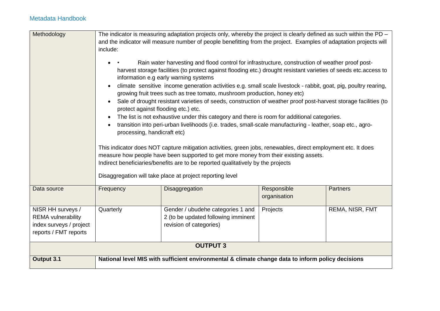| Methodology               |                                                                                                                                                                                                                                                                                                                                                                                                                                                                                                                                                                                                                                                                                                                                                                                                                                                                                                                                                                                                                                                                                                                                                                                                                                           | The indicator is measuring adaptation projects only, whereby the project is clearly defined as such within the PD –<br>and the indicator will measure number of people benefitting from the project. Examples of adaptation projects will |                             |                 |
|---------------------------|-------------------------------------------------------------------------------------------------------------------------------------------------------------------------------------------------------------------------------------------------------------------------------------------------------------------------------------------------------------------------------------------------------------------------------------------------------------------------------------------------------------------------------------------------------------------------------------------------------------------------------------------------------------------------------------------------------------------------------------------------------------------------------------------------------------------------------------------------------------------------------------------------------------------------------------------------------------------------------------------------------------------------------------------------------------------------------------------------------------------------------------------------------------------------------------------------------------------------------------------|-------------------------------------------------------------------------------------------------------------------------------------------------------------------------------------------------------------------------------------------|-----------------------------|-----------------|
|                           | include:                                                                                                                                                                                                                                                                                                                                                                                                                                                                                                                                                                                                                                                                                                                                                                                                                                                                                                                                                                                                                                                                                                                                                                                                                                  |                                                                                                                                                                                                                                           |                             |                 |
|                           | Rain water harvesting and flood control for infrastructure, construction of weather proof post-<br>harvest storage facilities (to protect against flooding etc.) drought resistant varieties of seeds etc. access to<br>information e.g early warning systems<br>climate sensitive income generation activities e.g. small scale livestock - rabbit, goat, pig, poultry rearing,<br>$\bullet$<br>growing fruit trees such as tree tomato, mushroom production, honey etc)<br>Sale of drought resistant varieties of seeds, construction of weather proof post-harvest storage facilities (to<br>protect against flooding etc.) etc.<br>The list is not exhaustive under this category and there is room for additional categories.<br>transition into peri-urban livelihoods (i.e. trades, small-scale manufacturing - leather, soap etc., agro-<br>processing, handicraft etc)<br>This indicator does NOT capture mitigation activities, green jobs, renewables, direct employment etc. It does<br>measure how people have been supported to get more money from their existing assets.<br>Indirect beneficiaries/benefits are to be reported qualitatively by the projects<br>Disaggregation will take place at project reporting level |                                                                                                                                                                                                                                           |                             |                 |
| Data source               | Frequency                                                                                                                                                                                                                                                                                                                                                                                                                                                                                                                                                                                                                                                                                                                                                                                                                                                                                                                                                                                                                                                                                                                                                                                                                                 | Disaggregation                                                                                                                                                                                                                            | Responsible<br>organisation | <b>Partners</b> |
| NISR HH surveys /         | Quarterly                                                                                                                                                                                                                                                                                                                                                                                                                                                                                                                                                                                                                                                                                                                                                                                                                                                                                                                                                                                                                                                                                                                                                                                                                                 | Gender / ubudehe categories 1 and                                                                                                                                                                                                         | Projects                    | REMA, NISR, FMT |
| <b>REMA</b> vulnerability |                                                                                                                                                                                                                                                                                                                                                                                                                                                                                                                                                                                                                                                                                                                                                                                                                                                                                                                                                                                                                                                                                                                                                                                                                                           | 2 (to be updated following imminent                                                                                                                                                                                                       |                             |                 |
| index surveys / project   |                                                                                                                                                                                                                                                                                                                                                                                                                                                                                                                                                                                                                                                                                                                                                                                                                                                                                                                                                                                                                                                                                                                                                                                                                                           | revision of categories)                                                                                                                                                                                                                   |                             |                 |
| reports / FMT reports     |                                                                                                                                                                                                                                                                                                                                                                                                                                                                                                                                                                                                                                                                                                                                                                                                                                                                                                                                                                                                                                                                                                                                                                                                                                           |                                                                                                                                                                                                                                           |                             |                 |
| <b>OUTPUT 3</b>           |                                                                                                                                                                                                                                                                                                                                                                                                                                                                                                                                                                                                                                                                                                                                                                                                                                                                                                                                                                                                                                                                                                                                                                                                                                           |                                                                                                                                                                                                                                           |                             |                 |
| Output 3.1                |                                                                                                                                                                                                                                                                                                                                                                                                                                                                                                                                                                                                                                                                                                                                                                                                                                                                                                                                                                                                                                                                                                                                                                                                                                           | National level MIS with sufficient environmental & climate change data to inform policy decisions                                                                                                                                         |                             |                 |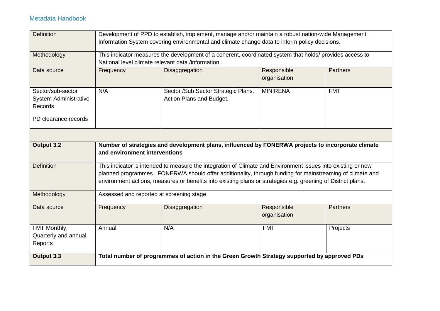| <b>Definition</b>            |                                                    | Development of PPD to establish, implement, manage and/or maintain a robust nation-wide Management           |                 |                 |
|------------------------------|----------------------------------------------------|--------------------------------------------------------------------------------------------------------------|-----------------|-----------------|
|                              |                                                    | Information System covering environmental and climate change data to inform policy decisions.                |                 |                 |
|                              |                                                    |                                                                                                              |                 |                 |
| Methodology                  |                                                    | This indicator measures the development of a coherent, coordinated system that holds/ provides access to     |                 |                 |
|                              | National level climate relevant data /information. |                                                                                                              |                 |                 |
| Data source                  | Frequency                                          | Disaggregation                                                                                               | Responsible     | <b>Partners</b> |
|                              |                                                    |                                                                                                              | organisation    |                 |
| Sector/sub-sector            | N/A                                                | Sector /Sub Sector Strategic Plans,                                                                          | <b>MINIRENA</b> | <b>FMT</b>      |
| <b>System Administrative</b> |                                                    | Action Plans and Budget.                                                                                     |                 |                 |
| Records                      |                                                    |                                                                                                              |                 |                 |
|                              |                                                    |                                                                                                              |                 |                 |
| PD clearance records         |                                                    |                                                                                                              |                 |                 |
|                              |                                                    |                                                                                                              |                 |                 |
|                              |                                                    |                                                                                                              |                 |                 |
| Output 3.2                   |                                                    | Number of strategies and development plans, influenced by FONERWA projects to incorporate climate            |                 |                 |
|                              | and environment interventions                      |                                                                                                              |                 |                 |
|                              |                                                    |                                                                                                              |                 |                 |
| <b>Definition</b>            |                                                    | This indicator is intended to measure the integration of Climate and Environment issues into existing or new |                 |                 |
|                              |                                                    | planned programmes. FONERWA should offer additionality, through funding for mainstreaming of climate and     |                 |                 |
|                              |                                                    | environment actions, measures or benefits into existing plans or strategies e.g. greening of District plans. |                 |                 |
| Methodology                  | Assessed and reported at screening stage           |                                                                                                              |                 |                 |
|                              |                                                    |                                                                                                              |                 |                 |
| Data source                  | Frequency                                          | Disaggregation                                                                                               | Responsible     | <b>Partners</b> |
|                              |                                                    |                                                                                                              | organisation    |                 |
| FMT Monthly,                 | Annual                                             | N/A                                                                                                          | <b>FMT</b>      | Projects        |
| Quarterly and annual         |                                                    |                                                                                                              |                 |                 |
| Reports                      |                                                    |                                                                                                              |                 |                 |
|                              |                                                    |                                                                                                              |                 |                 |
| Output 3.3                   |                                                    | Total number of programmes of action in the Green Growth Strategy supported by approved PDs                  |                 |                 |
|                              |                                                    |                                                                                                              |                 |                 |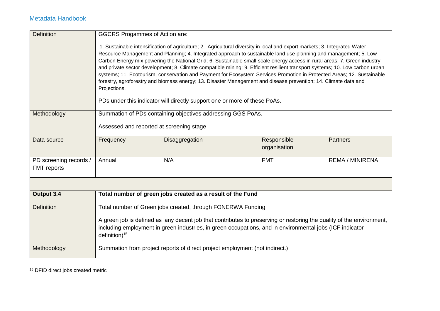| <b>Definition</b>                            | <b>GGCRS Progammes of Action are:</b>    |                                                                                                                                                                                                                                                                                                                                                                                                                                                                                                                                                                                                                                                                                                                                                                                                                                     |                             |                        |
|----------------------------------------------|------------------------------------------|-------------------------------------------------------------------------------------------------------------------------------------------------------------------------------------------------------------------------------------------------------------------------------------------------------------------------------------------------------------------------------------------------------------------------------------------------------------------------------------------------------------------------------------------------------------------------------------------------------------------------------------------------------------------------------------------------------------------------------------------------------------------------------------------------------------------------------------|-----------------------------|------------------------|
|                                              | Projections.                             | 1. Sustainable intensification of agriculture; 2. Agricultural diversity in local and export markets; 3. Integrated Water<br>Resource Management and Planning; 4. Integrated approach to sustainable land use planning and management; 5. Low<br>Carbon Energy mix powering the National Grid; 6. Sustainable small-scale energy access in rural areas; 7. Green industry<br>and private sector development; 8. Climate compatible mining; 9. Efficient resilient transport systems; 10. Low carbon urban<br>systems; 11. Ecotourism, conservation and Payment for Ecosystem Services Promotion in Protected Areas; 12. Sustainable<br>forestry, agroforestry and biomass energy; 13. Disaster Management and disease prevention; 14. Climate data and<br>PDs under this indicator will directly support one or more of these PoAs. |                             |                        |
| Methodology                                  |                                          | Summation of PDs containing objectives addressing GGS PoAs.                                                                                                                                                                                                                                                                                                                                                                                                                                                                                                                                                                                                                                                                                                                                                                         |                             |                        |
|                                              | Assessed and reported at screening stage |                                                                                                                                                                                                                                                                                                                                                                                                                                                                                                                                                                                                                                                                                                                                                                                                                                     |                             |                        |
| Data source                                  | Frequency                                | Disaggregation                                                                                                                                                                                                                                                                                                                                                                                                                                                                                                                                                                                                                                                                                                                                                                                                                      | Responsible<br>organisation | <b>Partners</b>        |
| PD screening records /<br><b>FMT</b> reports | Annual                                   | N/A                                                                                                                                                                                                                                                                                                                                                                                                                                                                                                                                                                                                                                                                                                                                                                                                                                 | <b>FMT</b>                  | <b>REMA / MINIRENA</b> |
|                                              |                                          |                                                                                                                                                                                                                                                                                                                                                                                                                                                                                                                                                                                                                                                                                                                                                                                                                                     |                             |                        |
| Output 3.4                                   |                                          | Total number of green jobs created as a result of the Fund                                                                                                                                                                                                                                                                                                                                                                                                                                                                                                                                                                                                                                                                                                                                                                          |                             |                        |
| <b>Definition</b>                            |                                          | Total number of Green jobs created, through FONERWA Funding                                                                                                                                                                                                                                                                                                                                                                                                                                                                                                                                                                                                                                                                                                                                                                         |                             |                        |
|                                              | definition) <sup>15</sup>                | A green job is defined as 'any decent job that contributes to preserving or restoring the quality of the environment,<br>including employment in green industries, in green occupations, and in environmental jobs (ICF indicator                                                                                                                                                                                                                                                                                                                                                                                                                                                                                                                                                                                                   |                             |                        |
| Methodology                                  |                                          | Summation from project reports of direct project employment (not indirect.)                                                                                                                                                                                                                                                                                                                                                                                                                                                                                                                                                                                                                                                                                                                                                         |                             |                        |

 <sup>15</sup> DFID direct jobs created metric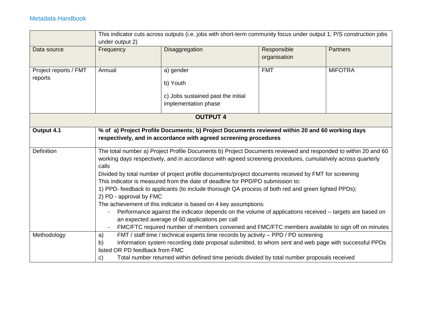|                                  | under output 2)                                                                                                                                                                                                                                                                     | This indicator cuts across outputs (i.e. jobs with short-term community focus under output 1; P/S construction jobs                                                                                                                                                                                                                                                                                                                                                                                                                                                                                                                                                                                                                                 |                             |                 |  |  |
|----------------------------------|-------------------------------------------------------------------------------------------------------------------------------------------------------------------------------------------------------------------------------------------------------------------------------------|-----------------------------------------------------------------------------------------------------------------------------------------------------------------------------------------------------------------------------------------------------------------------------------------------------------------------------------------------------------------------------------------------------------------------------------------------------------------------------------------------------------------------------------------------------------------------------------------------------------------------------------------------------------------------------------------------------------------------------------------------------|-----------------------------|-----------------|--|--|
| Data source                      | Frequency                                                                                                                                                                                                                                                                           | Disaggregation                                                                                                                                                                                                                                                                                                                                                                                                                                                                                                                                                                                                                                                                                                                                      | Responsible<br>organisation | <b>Partners</b> |  |  |
| Project reports / FMT<br>reports | Annual                                                                                                                                                                                                                                                                              | a) gender<br>b) Youth<br>c) Jobs sustained past the initial<br>implementation phase                                                                                                                                                                                                                                                                                                                                                                                                                                                                                                                                                                                                                                                                 | <b>FMT</b>                  | <b>MIFOTRA</b>  |  |  |
|                                  |                                                                                                                                                                                                                                                                                     | <b>OUTPUT 4</b>                                                                                                                                                                                                                                                                                                                                                                                                                                                                                                                                                                                                                                                                                                                                     |                             |                 |  |  |
| Output 4.1                       | % of a) Project Profile Documents; b) Project Documents reviewed within 20 and 60 working days<br>respectively, and in accordance with agreed screening procedures<br>The total number a) Project Profile Documents b) Project Documents reviewed and responded to within 20 and 60 |                                                                                                                                                                                                                                                                                                                                                                                                                                                                                                                                                                                                                                                                                                                                                     |                             |                 |  |  |
| Definition                       | calls<br>2) PD - approval by FMC<br>$\blacksquare$                                                                                                                                                                                                                                  | working days respectively, and in accordance with agreed screening procedures, cumulatively across quarterly<br>Divided by total number of project profile documents/project documents received by FMT for screening<br>This indicator is measured from the date of deadline for PPD/PD submission to:<br>1) PPD- feedback to applicants (to include thorough QA process of both red and green lighted PPDs);<br>The achievement of this indicator is based on 4 key assumptions:<br>Performance against the indicator depends on the volume of applications received – targets are based on<br>an expected average of 60 applications per call<br>FMC/FTC required number of members convened and FMC/FTC members available to sign off on minutes |                             |                 |  |  |
| Methodology                      | a)                                                                                                                                                                                                                                                                                  | FMT / staff time / technical experts time records by activity - PPD / PD screening                                                                                                                                                                                                                                                                                                                                                                                                                                                                                                                                                                                                                                                                  |                             |                 |  |  |
|                                  | b)<br>listed OR PD feedback from FMC                                                                                                                                                                                                                                                | Information system recording date proposal submitted, to whom sent and web page with successful PPDs                                                                                                                                                                                                                                                                                                                                                                                                                                                                                                                                                                                                                                                |                             |                 |  |  |
|                                  | $\mathbf{C}$                                                                                                                                                                                                                                                                        | Total number returned within defined time periods divided by total number proposals received                                                                                                                                                                                                                                                                                                                                                                                                                                                                                                                                                                                                                                                        |                             |                 |  |  |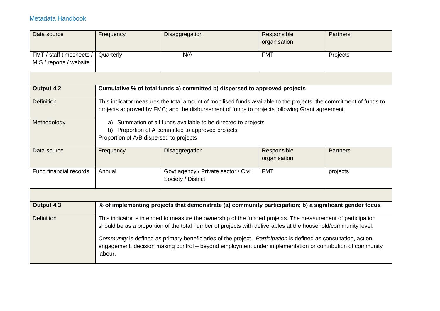| Data source              | Frequency                                     | Disaggregation                                                                                                                                                                                                                                                                                                                                                                                                                                                | Responsible<br>organisation | <b>Partners</b> |
|--------------------------|-----------------------------------------------|---------------------------------------------------------------------------------------------------------------------------------------------------------------------------------------------------------------------------------------------------------------------------------------------------------------------------------------------------------------------------------------------------------------------------------------------------------------|-----------------------------|-----------------|
| FMT / staff timesheets / | Quarterly                                     | N/A                                                                                                                                                                                                                                                                                                                                                                                                                                                           | <b>FMT</b>                  | Projects        |
| MIS / reports / website  |                                               |                                                                                                                                                                                                                                                                                                                                                                                                                                                               |                             |                 |
|                          |                                               |                                                                                                                                                                                                                                                                                                                                                                                                                                                               |                             |                 |
| Output 4.2               |                                               | Cumulative % of total funds a) committed b) dispersed to approved projects                                                                                                                                                                                                                                                                                                                                                                                    |                             |                 |
| <b>Definition</b>        |                                               | This indicator measures the total amount of mobilised funds available to the projects; the commitment of funds to<br>projects approved by FMC; and the disbursement of funds to projects following Grant agreement.                                                                                                                                                                                                                                           |                             |                 |
| Methodology              | b)<br>Proportion of A/B dispersed to projects | a) Summation of all funds available to be directed to projects<br>Proportion of A committed to approved projects                                                                                                                                                                                                                                                                                                                                              |                             |                 |
| Data source              | Frequency                                     | Disaggregation                                                                                                                                                                                                                                                                                                                                                                                                                                                | Responsible<br>organisation | <b>Partners</b> |
| Fund financial records   | Annual                                        | Govt agency / Private sector / Civil<br>Society / District                                                                                                                                                                                                                                                                                                                                                                                                    | <b>FMT</b>                  | projects        |
|                          |                                               |                                                                                                                                                                                                                                                                                                                                                                                                                                                               |                             |                 |
| Output 4.3               |                                               | % of implementing projects that demonstrate (a) community participation; b) a significant gender focus                                                                                                                                                                                                                                                                                                                                                        |                             |                 |
| <b>Definition</b>        |                                               | This indicator is intended to measure the ownership of the funded projects. The measurement of participation<br>should be as a proportion of the total number of projects with deliverables at the household/community level.<br>Community is defined as primary beneficiaries of the project. Participation is defined as consultation, action,<br>engagement, decision making control – beyond employment under implementation or contribution of community |                             |                 |
|                          | labour.                                       |                                                                                                                                                                                                                                                                                                                                                                                                                                                               |                             |                 |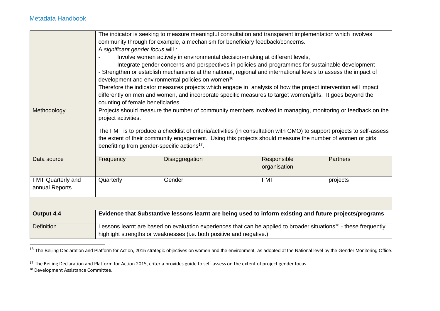|                   |                                                                                                                                    | The indicator is seeking to measure meaningful consultation and transparent implementation which involves<br>community through for example, a mechanism for beneficiary feedback/concerns. |              |                 |  |  |
|-------------------|------------------------------------------------------------------------------------------------------------------------------------|--------------------------------------------------------------------------------------------------------------------------------------------------------------------------------------------|--------------|-----------------|--|--|
|                   | A significant gender focus will:                                                                                                   |                                                                                                                                                                                            |              |                 |  |  |
|                   |                                                                                                                                    | Involve women actively in environmental decision-making at different levels,                                                                                                               |              |                 |  |  |
|                   |                                                                                                                                    | Integrate gender concerns and perspectives in policies and programmes for sustainable development                                                                                          |              |                 |  |  |
|                   | - Strengthen or establish mechanisms at the national, regional and international levels to assess the impact of                    |                                                                                                                                                                                            |              |                 |  |  |
|                   |                                                                                                                                    | development and environmental policies on women <sup>16</sup>                                                                                                                              |              |                 |  |  |
|                   |                                                                                                                                    | Therefore the indicator measures projects which engage in analysis of how the project intervention will impact                                                                             |              |                 |  |  |
|                   |                                                                                                                                    | differently on men and women, and incorporate specific measures to target women/girls. It goes beyond the                                                                                  |              |                 |  |  |
|                   | counting of female beneficiaries.                                                                                                  |                                                                                                                                                                                            |              |                 |  |  |
| Methodology       | Projects should measure the number of community members involved in managing, monitoring or feedback on the<br>project activities. |                                                                                                                                                                                            |              |                 |  |  |
|                   |                                                                                                                                    |                                                                                                                                                                                            |              |                 |  |  |
|                   |                                                                                                                                    | The FMT is to produce a checklist of criteria/activities (in consultation with GMO) to support projects to self-assess                                                                     |              |                 |  |  |
|                   |                                                                                                                                    | the extent of their community engagement. Using this projects should measure the number of women or girls                                                                                  |              |                 |  |  |
|                   | benefitting from gender-specific actions <sup>17</sup> .                                                                           |                                                                                                                                                                                            |              |                 |  |  |
| Data source       | Frequency                                                                                                                          | Disaggregation                                                                                                                                                                             | Responsible  | <b>Partners</b> |  |  |
|                   |                                                                                                                                    |                                                                                                                                                                                            | organisation |                 |  |  |
|                   |                                                                                                                                    |                                                                                                                                                                                            |              |                 |  |  |
| FMT Quarterly and | Quarterly                                                                                                                          | Gender                                                                                                                                                                                     | <b>FMT</b>   | projects        |  |  |
| annual Reports    |                                                                                                                                    |                                                                                                                                                                                            |              |                 |  |  |
|                   |                                                                                                                                    |                                                                                                                                                                                            |              |                 |  |  |
|                   |                                                                                                                                    |                                                                                                                                                                                            |              |                 |  |  |
| Output 4.4        |                                                                                                                                    | Evidence that Substantive lessons learnt are being used to inform existing and future projects/programs                                                                                    |              |                 |  |  |
| <b>Definition</b> |                                                                                                                                    | Lessons learnt are based on evaluation experiences that can be applied to broader situations <sup>18</sup> - these frequently                                                              |              |                 |  |  |
|                   |                                                                                                                                    | highlight strengths or weaknesses (i.e. both positive and negative.)                                                                                                                       |              |                 |  |  |

<sup>&</sup>lt;sup>16</sup> The Beijing Declaration and Platform for Action, 2015 strategic objectives on women and the environment, as adopted at the National level by the Gender Monitoring Office.

<sup>17</sup> The Beijing Declaration and Platform for Action 2015, criteria provides guide to self-assess on the extent of project gender focus <sup>18</sup> Development Assistance Committee.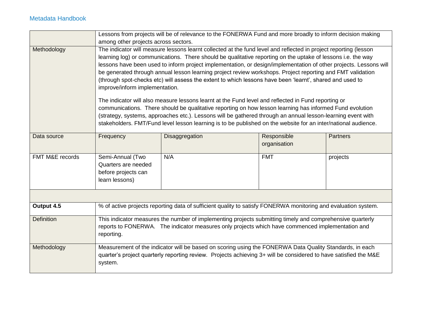|                   |                                                                                  | Lessons from projects will be of relevance to the FONERWA Fund and more broadly to inform decision making                                                                                                                                                                                                                                                                                                                                                                                                                                                                                                                                                                                                                                                                                                                                                                                                                                                                                                                           |                             |                 |
|-------------------|----------------------------------------------------------------------------------|-------------------------------------------------------------------------------------------------------------------------------------------------------------------------------------------------------------------------------------------------------------------------------------------------------------------------------------------------------------------------------------------------------------------------------------------------------------------------------------------------------------------------------------------------------------------------------------------------------------------------------------------------------------------------------------------------------------------------------------------------------------------------------------------------------------------------------------------------------------------------------------------------------------------------------------------------------------------------------------------------------------------------------------|-----------------------------|-----------------|
|                   | among other projects across sectors.                                             |                                                                                                                                                                                                                                                                                                                                                                                                                                                                                                                                                                                                                                                                                                                                                                                                                                                                                                                                                                                                                                     |                             |                 |
| Methodology       | improve/inform implementation.                                                   | The indicator will measure lessons learnt collected at the fund level and reflected in project reporting (lesson<br>learning log) or communications. There should be qualitative reporting on the uptake of lessons i.e. the way<br>lessons have been used to inform project implementation, or design/implementation of other projects. Lessons will<br>be generated through annual lesson learning project review workshops. Project reporting and FMT validation<br>(through spot-checks etc) will assess the extent to which lessons have been 'learnt', shared and used to<br>The indicator will also measure lessons learnt at the Fund level and reflected in Fund reporting or<br>communications. There should be qualitative reporting on how lesson learning has informed Fund evolution<br>(strategy, systems, approaches etc.). Lessons will be gathered through an annual lesson-learning event with<br>stakeholders. FMT/Fund level lesson learning is to be published on the website for an inter/national audience. |                             |                 |
| Data source       | Frequency                                                                        | Disaggregation                                                                                                                                                                                                                                                                                                                                                                                                                                                                                                                                                                                                                                                                                                                                                                                                                                                                                                                                                                                                                      | Responsible<br>organisation | <b>Partners</b> |
| FMT M&E records   | Semi-Annual (Two<br>Quarters are needed<br>before projects can<br>learn lessons) | N/A                                                                                                                                                                                                                                                                                                                                                                                                                                                                                                                                                                                                                                                                                                                                                                                                                                                                                                                                                                                                                                 | <b>FMT</b>                  | projects        |
|                   |                                                                                  |                                                                                                                                                                                                                                                                                                                                                                                                                                                                                                                                                                                                                                                                                                                                                                                                                                                                                                                                                                                                                                     |                             |                 |
| Output 4.5        |                                                                                  | % of active projects reporting data of sufficient quality to satisfy FONERWA monitoring and evaluation system.                                                                                                                                                                                                                                                                                                                                                                                                                                                                                                                                                                                                                                                                                                                                                                                                                                                                                                                      |                             |                 |
| <b>Definition</b> | reporting.                                                                       | This indicator measures the number of implementing projects submitting timely and comprehensive quarterly<br>reports to FONERWA. The indicator measures only projects which have commenced implementation and                                                                                                                                                                                                                                                                                                                                                                                                                                                                                                                                                                                                                                                                                                                                                                                                                       |                             |                 |
| Methodology       | system.                                                                          | Measurement of the indicator will be based on scoring using the FONERWA Data Quality Standards, in each<br>quarter's project quarterly reporting review. Projects achieving 3+ will be considered to have satisfied the M&E                                                                                                                                                                                                                                                                                                                                                                                                                                                                                                                                                                                                                                                                                                                                                                                                         |                             |                 |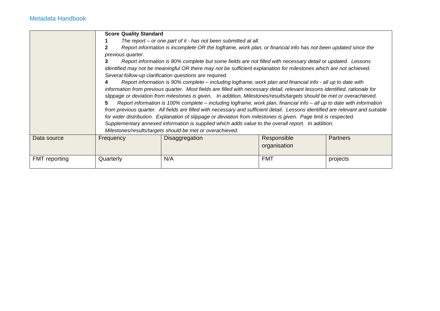|                      | <b>Score Quality Standard</b><br>previous quarter.<br>3<br>5. | The report – or one part of it - has not been submitted at all.<br>Report information is incomplete OR the logframe, work plan, or financial info has not been updated since the<br>Report information is 80% complete but some fields are not filled with necessary detail or updated. Lessons<br>identified may not be meaningful OR there may not be sufficient explanation for milestones which are not achieved.<br>Several follow-up clarification questions are required.<br>Report information is 90% complete – including logframe, work plan and financial info - all up to date with<br>information from previous quarter. Most fields are filled with necessary detail, relevant lessons identified, rationale for<br>slippage or deviation from milestones is given. In addition, Milestones/results/targets should be met or overachieved.<br>Report information is 100% complete – including logframe, work plan, financial info – all up to date with information<br>from previous quarter. All fields are filled with necessary and sufficient detail. Lessons identified are relevant and suitable<br>for wider distribution. Explanation of slippage or deviation from milestones is given. Page limit is respected.<br>Supplementary annexed information is supplied which adds value to the overall report. In addition,<br>Milestones/results/targets should be met or overachieved. |                             |                 |
|----------------------|---------------------------------------------------------------|------------------------------------------------------------------------------------------------------------------------------------------------------------------------------------------------------------------------------------------------------------------------------------------------------------------------------------------------------------------------------------------------------------------------------------------------------------------------------------------------------------------------------------------------------------------------------------------------------------------------------------------------------------------------------------------------------------------------------------------------------------------------------------------------------------------------------------------------------------------------------------------------------------------------------------------------------------------------------------------------------------------------------------------------------------------------------------------------------------------------------------------------------------------------------------------------------------------------------------------------------------------------------------------------------------------------------------------------------------------------------------------------------------|-----------------------------|-----------------|
| Data source          | Frequency                                                     | <b>Disaggregation</b>                                                                                                                                                                                                                                                                                                                                                                                                                                                                                                                                                                                                                                                                                                                                                                                                                                                                                                                                                                                                                                                                                                                                                                                                                                                                                                                                                                                      | Responsible<br>organisation | <b>Partners</b> |
| <b>FMT</b> reporting | Quarterly                                                     | N/A                                                                                                                                                                                                                                                                                                                                                                                                                                                                                                                                                                                                                                                                                                                                                                                                                                                                                                                                                                                                                                                                                                                                                                                                                                                                                                                                                                                                        | <b>FMT</b>                  | projects        |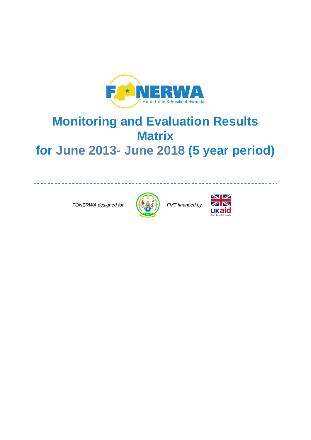

# **Monitoring and Evaluation Results Matrix for June 2013- June 2018 (5 year period)**

 *FONERWA designed for FMT financed by*





\_\_\_\_\_\_\_\_\_\_\_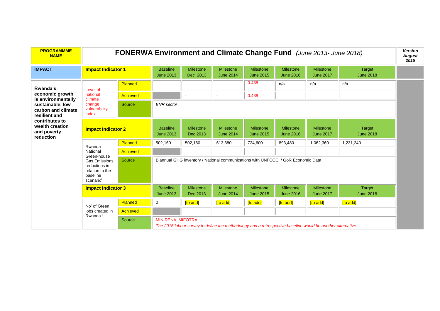| <b>PROGRAMMME</b><br><b>NAME</b>                                                                          |                                         | <b>FONERWA Environment and Climate Change Fund</b> (June 2013- June 2018) |                                     |                              |                                                                                                            |                                      |                                      |                                      | <b>Version</b><br><b>August</b><br>2015 |  |  |  |
|-----------------------------------------------------------------------------------------------------------|-----------------------------------------|---------------------------------------------------------------------------|-------------------------------------|------------------------------|------------------------------------------------------------------------------------------------------------|--------------------------------------|--------------------------------------|--------------------------------------|-----------------------------------------|--|--|--|
| <b>IMPACT</b>                                                                                             | <b>Impact Indicator 1</b>               |                                                                           | <b>Baseline</b><br><b>June 2013</b> | <b>Milestone</b><br>Dec 2013 | <b>Milestone</b><br><b>June 2014</b>                                                                       | Milestone<br><b>June 2015</b>        | <b>Milestone</b><br><b>June 2016</b> | <b>Milestone</b><br><b>June 2017</b> | <b>Target</b><br><b>June 2018</b>       |  |  |  |
| Rwanda's                                                                                                  | Level of                                | Planned                                                                   |                                     |                              |                                                                                                            | 0.438                                | n/a                                  | n/a                                  | n/a                                     |  |  |  |
| economic growth<br>is environmentally                                                                     | national<br>climate                     | Achieved                                                                  |                                     |                              | $\sim$                                                                                                     | 0.438                                |                                      |                                      |                                         |  |  |  |
| sustainable, low<br>carbon and climate<br>resilient and                                                   | change<br>vulnerability<br>index        | Source                                                                    | <b>ENR</b> sector                   |                              |                                                                                                            |                                      |                                      |                                      |                                         |  |  |  |
| contributes to<br>wealth creation<br><b>Impact Indicator 2</b><br>and poverty<br>reduction                |                                         |                                                                           | <b>Baseline</b><br><b>June 2013</b> | Milestone<br>Dec 2013        | <b>Milestone</b><br><b>June 2014</b>                                                                       | <b>Milestone</b><br><b>June 2015</b> | <b>Milestone</b><br><b>June 2016</b> | <b>Milestone</b><br><b>June 2017</b> | <b>Target</b><br><b>June 2018</b>       |  |  |  |
|                                                                                                           | Rwanda                                  | Planned                                                                   | 502,160                             | 502,160                      | 613,380                                                                                                    | 724,600                              | 893,480                              | 1,062,360                            | 1,231,240                               |  |  |  |
|                                                                                                           | National                                | <b>Achieved</b>                                                           |                                     |                              |                                                                                                            |                                      |                                      |                                      |                                         |  |  |  |
| Green-house<br>Source<br><b>Gas Emissions</b><br>reductions in<br>relation to the<br>baseline<br>scenario |                                         |                                                                           |                                     |                              | Biannual GHG inventory / National communications with UNFCCC / GoR Economic Data                           |                                      |                                      |                                      |                                         |  |  |  |
|                                                                                                           | <b>Impact Indicator 3</b>               |                                                                           | <b>Baseline</b><br><b>June 2013</b> | <b>Milestone</b><br>Dec 2013 | <b>Milestone</b><br><b>June 2014</b>                                                                       | Milestone<br><b>June 2015</b>        | <b>Milestone</b><br><b>June 2016</b> | <b>Milestone</b><br><b>June 2017</b> | Target<br><b>June 2018</b>              |  |  |  |
|                                                                                                           | No' of Green                            | Planned                                                                   | 0                                   | [to add]                     | [to add]                                                                                                   | [to add]                             | [to add]                             | [to add]                             | [to add]                                |  |  |  |
|                                                                                                           | jobs created in<br>Rwanda <sup>ii</sup> | Achieved                                                                  |                                     |                              |                                                                                                            |                                      |                                      |                                      |                                         |  |  |  |
|                                                                                                           |                                         | Source                                                                    | <b>MINIRENA, MIFOTRA</b>            |                              | The 2016 labour survey to define the methodology and a retrospective baseline would be another alternative |                                      |                                      |                                      |                                         |  |  |  |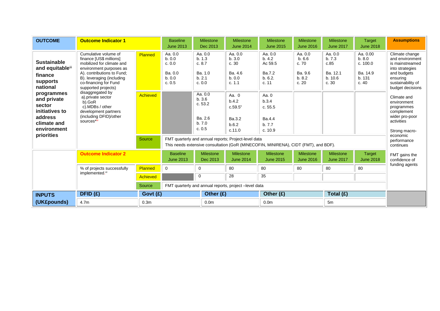| <b>OUTCOME</b>                                                                                               | <b>Outcome Indicator 1</b>                                                                                                                                                                                         |                  | <b>Baseline</b><br><b>June 2013</b>                        | <b>Milestone</b><br>Dec 2013                               | <b>Milestone</b><br><b>June 2014</b>                      | <b>Milestone</b><br><b>June 2015</b>                                                | <b>Milestone</b><br><b>June 2016</b>                   | <b>Milestone</b><br><b>June 2017</b>                     | Target<br><b>June 2018</b>                                   | <b>Assumptions</b>                                                                                                                          |
|--------------------------------------------------------------------------------------------------------------|--------------------------------------------------------------------------------------------------------------------------------------------------------------------------------------------------------------------|------------------|------------------------------------------------------------|------------------------------------------------------------|-----------------------------------------------------------|-------------------------------------------------------------------------------------|--------------------------------------------------------|----------------------------------------------------------|--------------------------------------------------------------|---------------------------------------------------------------------------------------------------------------------------------------------|
| <b>Sustainable</b><br>and equitableiii<br>finance<br>supports<br>national                                    | Cumulative volume of<br>finance [US\$ millions]<br>mobilized for climate and<br>environment purposes as<br>A). contributions to Fund;<br>B). leveraging (including<br>co-financing for Fund<br>supported projects) | <b>Planned</b>   | Aa. 0.0<br>b. 0.0<br>c. 0.0<br>Ba. 0.0<br>b. 0.0<br>c. 0.5 | Aa. 0.0<br>b. 1.3<br>c. 8.7<br>Ba. 1.0<br>b. 2.1<br>c. 0.0 | Aa. 0.0<br>b.3.0<br>c.30<br>Ba. 4.6<br>b. 0.0<br>c. 1.1   | Aa. 0.0<br>b.4.2<br>Ac 59.5<br>Ba.7.2<br>b.6.2.<br>c. 11                            | Aa. 0.0<br>b.66<br>c. 70<br>Ba. 9.6<br>b. 8.2<br>c. 20 | Aa. 0.0<br>b.7.3<br>c.85<br>Ba. 12.1<br>b. 10.6<br>c. 30 | Aa. 0.00<br>b. 8.0<br>c. 100.0<br>Ba. 14.9<br>b. 131<br>c.40 | Climate change<br>and environment<br>is mainstreamed<br>into strategies<br>and budgets<br>ensuring<br>sustainability of<br>budget decisions |
| programmes<br>and private<br>sector<br>initiatives to<br>address<br>climate and<br>environment<br>priorities | disaggregated by<br>a).private sector<br>b).GoR<br>c).MDBs / other<br>development partners<br>(including DFID)/other<br>sources*iv                                                                                 | <b>Achieved</b>  |                                                            | Aa. 0.0<br>b.3.6<br>c. 53.2<br>Ba. 2.6<br>b.7.0<br>c. 0.5  | Aa. 0<br>b.4.2<br>$c.59.5^v$<br>Ba.3.2<br>b.6.2<br>c.11.0 | Aa. 0<br>b.3.4<br>c.55.5<br>Ba.4.4<br>b.7.7<br>c. 10.9                              |                                                        |                                                          |                                                              | Climate and<br>environment<br>programmes<br>complement<br>wider pro-poor<br>activities<br>Strong macro-                                     |
|                                                                                                              |                                                                                                                                                                                                                    | Source           |                                                            |                                                            | FMT quarterly and annual reports; Project-level data      | This needs extensive consultation (GoR (MINECOFIN, MINIRENA), CIDT (FMT), and BDF). |                                                        |                                                          |                                                              | economic<br>performance<br>continues                                                                                                        |
|                                                                                                              | <b>Outcome Indicator 2</b>                                                                                                                                                                                         |                  | <b>Baseline</b><br><b>June 2013</b>                        | <b>Milestone</b><br>Dec 2013                               | Milestone<br><b>June 2014</b>                             | <b>Milestone</b><br><b>June 2015</b>                                                | Milestone<br><b>June 2016</b>                          | <b>Milestone</b><br><b>June 2017</b>                     | Target<br><b>June 2018</b>                                   | FMT gains the<br>confidence of                                                                                                              |
|                                                                                                              | % of projects successfully                                                                                                                                                                                         | Planned          | $\mathbf 0$                                                | 0                                                          | 80                                                        | 80                                                                                  | 80                                                     | 80                                                       | 80                                                           | funding agents                                                                                                                              |
|                                                                                                              | implemented. <sup>vi</sup>                                                                                                                                                                                         | <b>Achieved</b>  |                                                            | 0                                                          | 28                                                        | 35                                                                                  |                                                        |                                                          |                                                              |                                                                                                                                             |
|                                                                                                              |                                                                                                                                                                                                                    | Source           |                                                            |                                                            | FMT quarterly and annual reports, project -level data     |                                                                                     |                                                        |                                                          |                                                              |                                                                                                                                             |
| <b>INPUTS</b>                                                                                                | DFID(f)                                                                                                                                                                                                            | Govt $(f)$       | Other (£)<br>Other $(f)$<br>Total (£)                      |                                                            |                                                           |                                                                                     |                                                        |                                                          |                                                              |                                                                                                                                             |
| (UK£pounds)                                                                                                  | 4.7 <sub>m</sub>                                                                                                                                                                                                   | 0.3 <sub>m</sub> |                                                            | 0.0 <sub>m</sub>                                           |                                                           | 0.0 <sub>m</sub>                                                                    |                                                        | 5m                                                       |                                                              |                                                                                                                                             |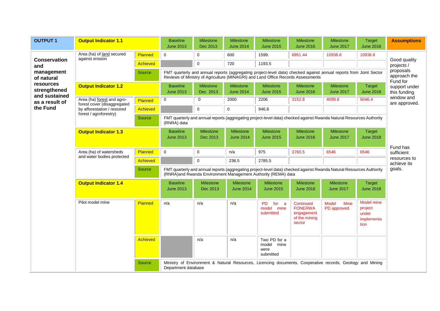| <b>OUTPUT 1</b>                                                   | <b>Output Indicator 1.1</b>                               |          | <b>Baseline</b><br><b>June 2013</b>                                                                                                                                                    | <b>Milestone</b><br>Dec 2013                                                                                                                                                                           | Milestone<br><b>June 2014</b> | <b>Milestone</b><br><b>June 2015</b>            | Milestone<br><b>June 2016</b>                                        | <b>Milestone</b><br><b>June 2017</b>                                                                                 | <b>Target</b><br><b>June 2018</b>                    | <b>Assumptions</b>                        |  |
|-------------------------------------------------------------------|-----------------------------------------------------------|----------|----------------------------------------------------------------------------------------------------------------------------------------------------------------------------------------|--------------------------------------------------------------------------------------------------------------------------------------------------------------------------------------------------------|-------------------------------|-------------------------------------------------|----------------------------------------------------------------------|----------------------------------------------------------------------------------------------------------------------|------------------------------------------------------|-------------------------------------------|--|
|                                                                   | Area (ha) of land secured<br>against erosion              | Planned  | $\mathbf 0$                                                                                                                                                                            | $\mathbf 0$                                                                                                                                                                                            | 600                           | 1599.                                           | 6851.44                                                              | 10936.6                                                                                                              | 10936.6                                              |                                           |  |
| <b>Conservation</b><br>and                                        |                                                           | Achieved |                                                                                                                                                                                        | $\Omega$                                                                                                                                                                                               | 720                           | 1193.5                                          |                                                                      |                                                                                                                      |                                                      | Good quality<br>projects /<br>proposals   |  |
| management<br>of natural                                          |                                                           | Source   |                                                                                                                                                                                        | FMT quarterly and annual reports (aggregating project-level data) checked against annual reports from Joint Sector<br>Reviews of Ministry of Agriculture (MINAGRI) and Land Office Records Assessments |                               |                                                 |                                                                      |                                                                                                                      |                                                      |                                           |  |
| resources<br>strengthened                                         | <b>Output Indicator 1.2</b>                               |          | <b>Baseline</b><br><b>June 2013</b>                                                                                                                                                    | <b>Milestone</b><br>Dec 2013                                                                                                                                                                           | Milestone<br><b>June 2014</b> | <b>Milestone</b><br><b>June 2015</b>            | Milestone<br><b>June 2016</b>                                        | <b>Milestone</b><br><b>June 2017</b>                                                                                 | Target<br><b>June 2018</b>                           | Fund for<br>support under<br>this funding |  |
| and sustained<br>as a result of                                   | Area (ha) forest and agro-<br>forest cover (disaggregated | Planned  | 0                                                                                                                                                                                      | 0                                                                                                                                                                                                      | 2000                          | 2206                                            | 3152.8                                                               | 4099.6                                                                                                               | 5046.4                                               | window and<br>are approved.               |  |
| the Fund<br>by afforestation / restored<br>forest / agroforestry) |                                                           | Achieved |                                                                                                                                                                                        | $\pmb{0}$                                                                                                                                                                                              | 0                             | 946.8                                           |                                                                      |                                                                                                                      |                                                      |                                           |  |
|                                                                   |                                                           | Source   | (RNRA) data                                                                                                                                                                            |                                                                                                                                                                                                        |                               |                                                 |                                                                      | FMT quarterly and annual reports (aggregating project-level data) checked against Rwanda Natural Resources Authority |                                                      |                                           |  |
|                                                                   | <b>Output Indicator 1.3</b>                               |          | <b>Baseline</b><br><b>June 2013</b>                                                                                                                                                    | Milestone<br>Dec 2013                                                                                                                                                                                  | Milestone<br><b>June 2014</b> | Milestone<br><b>June 2015</b>                   | Milestone<br><b>June 2016</b>                                        | Milestone<br><b>June 2017</b>                                                                                        | Target<br><b>June 2018</b>                           | Fund has                                  |  |
|                                                                   | Area (ha) of watersheds                                   | Planned  | $\mathbf 0$                                                                                                                                                                            | $\mathbf 0$                                                                                                                                                                                            | n/a                           | 975                                             | 3760.5                                                               | 6546                                                                                                                 | 6546                                                 | sufficient                                |  |
|                                                                   | and water bodies protected                                | Achieved |                                                                                                                                                                                        | $\pmb{0}$                                                                                                                                                                                              | 236.5                         | 2785.5                                          |                                                                      |                                                                                                                      |                                                      | resources to<br>achieve its               |  |
|                                                                   |                                                           | Source   | FMT quarterly and annual reports (aggregating project-level data) checked against Rwanda Natural Resources Authority<br>(RNRA) and Rwanda Environment Management Authority (REMA) data |                                                                                                                                                                                                        |                               |                                                 |                                                                      |                                                                                                                      |                                                      | goals.                                    |  |
|                                                                   | <b>Output Indicator 1.4</b>                               |          | <b>Baseline</b><br><b>June 2013</b>                                                                                                                                                    | <b>Milestone</b><br>Dec 2013                                                                                                                                                                           | Milestone<br><b>June 2014</b> | <b>Milestone</b><br><b>June 2015</b>            | <b>Milestone</b><br><b>June 2016</b>                                 | Milestone<br><b>June 2017</b>                                                                                        | Target<br><b>June 2018</b>                           |                                           |  |
|                                                                   | Pilot model mine                                          | Planned  | n/a                                                                                                                                                                                    | n/a                                                                                                                                                                                                    | n/a                           | <b>PD</b><br>for a<br>model mine<br>submitted   | Continued<br><b>FONERWA</b><br>engagement<br>of the mining<br>sector | <b>Model</b><br><b>Mine</b><br>PD approved                                                                           | Model mine<br>project<br>under<br>implementa<br>tion |                                           |  |
|                                                                   |                                                           | Achieved |                                                                                                                                                                                        | n/a                                                                                                                                                                                                    | n/a                           | Two PD for a<br>model mine<br>were<br>submitted |                                                                      |                                                                                                                      |                                                      |                                           |  |
|                                                                   |                                                           | Source   | Department database                                                                                                                                                                    |                                                                                                                                                                                                        |                               |                                                 |                                                                      | Ministry of Environment & Natural Resources, Licencing documents, Cooperative records, Geology and Mining            |                                                      |                                           |  |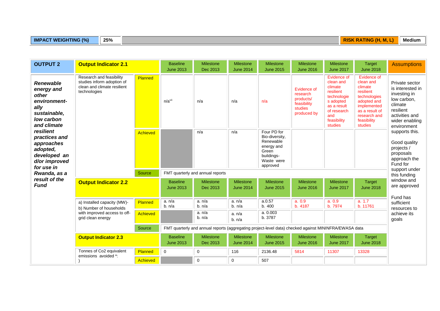#### **IMPACT WEIGHTING (%)** 25% **25% RISK RATING (H, M, L)** Medium

| <b>OUTPUT 2</b>                                                                                              | <b>Output Indicator 2.1</b>                                                                           |                 | <b>Baseline</b><br><b>June 2013</b> | Milestone<br>Dec 2013                                                                                 | <b>Milestone</b><br><b>June 2014</b> | <b>Milestone</b><br><b>June 2015</b>                                                                      | <b>Milestone</b><br><b>June 2016</b>                                          | <b>Milestone</b><br><b>June 2017</b>                                                                                                        | <b>Target</b><br><b>June 2018</b>                                                                                                                          | <b>Assumptions</b>                                                                                                                           |
|--------------------------------------------------------------------------------------------------------------|-------------------------------------------------------------------------------------------------------|-----------------|-------------------------------------|-------------------------------------------------------------------------------------------------------|--------------------------------------|-----------------------------------------------------------------------------------------------------------|-------------------------------------------------------------------------------|---------------------------------------------------------------------------------------------------------------------------------------------|------------------------------------------------------------------------------------------------------------------------------------------------------------|----------------------------------------------------------------------------------------------------------------------------------------------|
| <b>Renewable</b><br>energy and<br>other<br>environment-<br>ally<br>sustainable,<br>low carbon<br>and climate | Research and feasibility<br>studies inform adoption of<br>clean and climate resilient<br>technologies | Planned         | n/a <sup>vi</sup>                   | n/a                                                                                                   | n/a                                  | n/a                                                                                                       | Evidence of<br>research<br>products/<br>feasibility<br>studies<br>produced by | Evidence of<br>clean and<br>climate<br>resilient<br>technologie<br>s adopted<br>as a result<br>of research<br>and<br>feasibility<br>studies | Evidence of<br>clean and<br>climate<br>resilient<br>technologies<br>adopted and<br>implemented<br>as a result of<br>research and<br>feasibility<br>studies | Private sector<br>is interested in<br>investing in<br>low carbon,<br>climate<br>resilient<br>activities and<br>wider enabling<br>environment |
| resilient<br>practices and<br>approaches<br>adopted,<br>developed an<br>d/or improved<br>for use in          |                                                                                                       | <b>Achieved</b> |                                     | n/a                                                                                                   | n/a                                  | Four PD for<br>Bio-diversity,<br>Renewable<br>energy and<br>Green<br>buildings-<br>Waste were<br>approved |                                                                               |                                                                                                                                             |                                                                                                                                                            | supports this.<br>Good quality<br>projects /<br>proposals<br>approach the<br>Fund for<br>support under                                       |
| Rwanda, as a                                                                                                 |                                                                                                       | Source          |                                     | FMT quarterly and annual reports                                                                      |                                      |                                                                                                           |                                                                               |                                                                                                                                             |                                                                                                                                                            | this funding                                                                                                                                 |
| result of the<br><b>Fund</b>                                                                                 | <b>Output Indicator 2.2</b>                                                                           |                 | <b>Baseline</b><br><b>June 2013</b> | <b>Milestone</b><br>Dec 2013                                                                          | <b>Milestone</b><br><b>June 2014</b> | <b>Milestone</b><br><b>June 2015</b>                                                                      | <b>Milestone</b><br><b>June 2016</b>                                          | Milestone<br><b>June 2017</b>                                                                                                               | <b>Target</b><br><b>June 2018</b>                                                                                                                          | window and<br>are approved                                                                                                                   |
|                                                                                                              | a) Installed capacity (MW)-<br>b) Number of households                                                | Planned         | a. n/a<br>b. n/a                    | a. n/a<br>b. n/a                                                                                      | a. n/a<br>b. n/a                     | a.0.57<br>b. 400                                                                                          | a. 0.9<br>b. 4187                                                             | a. 0.9<br>b. 7974                                                                                                                           | a. 1.7<br>b. 11761                                                                                                                                         | Fund has<br>sufficient<br>resources to                                                                                                       |
|                                                                                                              | with improved access to off-<br>grid clean energy                                                     | <b>Achieved</b> |                                     | a. n/a<br>b. n/a                                                                                      | a. n/a<br>b. n/a                     | a. 0.003<br>b. 3787                                                                                       |                                                                               |                                                                                                                                             |                                                                                                                                                            | achieve its<br>goals                                                                                                                         |
|                                                                                                              |                                                                                                       | Source          |                                     | FMT quarterly and annual reports (aggregating project-level data) checked against MININFRA/EWASA data |                                      |                                                                                                           |                                                                               |                                                                                                                                             |                                                                                                                                                            |                                                                                                                                              |
|                                                                                                              | <b>Output Indicator 2.3</b>                                                                           |                 | <b>Baseline</b><br><b>June 2013</b> | <b>Milestone</b><br>Dec 2013                                                                          | <b>Milestone</b><br><b>June 2014</b> | <b>Milestone</b><br><b>June 2015</b>                                                                      | <b>Milestone</b><br><b>June 2016</b>                                          | <b>Milestone</b><br><b>June 2017</b>                                                                                                        | <b>Target</b><br><b>June 2018</b>                                                                                                                          |                                                                                                                                              |
|                                                                                                              | Tonnes of Co2 equivalent<br>emissions avoided *:                                                      | Planned         | $\mathsf{O}\xspace$                 | $\mathbf 0$                                                                                           | 116                                  | 2136.48                                                                                                   | 5814                                                                          | 11307                                                                                                                                       | 13328                                                                                                                                                      |                                                                                                                                              |
|                                                                                                              |                                                                                                       | Achieved        |                                     | $\mathbf 0$                                                                                           | 0                                    | 507                                                                                                       |                                                                               |                                                                                                                                             |                                                                                                                                                            |                                                                                                                                              |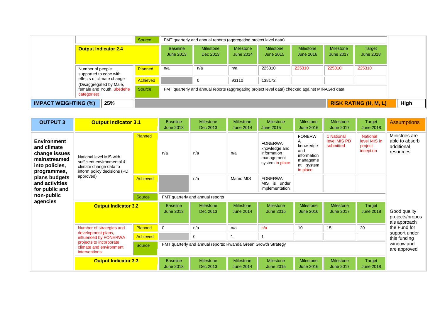|                                                                     |                             | Source         |                                     | FMT quarterly and annual reports (aggregating project level data)                              |                                      |                               |                                      |                                      |                              |
|---------------------------------------------------------------------|-----------------------------|----------------|-------------------------------------|------------------------------------------------------------------------------------------------|--------------------------------------|-------------------------------|--------------------------------------|--------------------------------------|------------------------------|
|                                                                     | <b>Output Indicator 2.4</b> |                | <b>Baseline</b><br><b>June 2013</b> | <b>Milestone</b><br>Dec 2013                                                                   | <b>Milestone</b><br><b>June 2014</b> | <b>Milestone</b><br>June 2015 | <b>Milestone</b><br><b>June 2016</b> | <b>Milestone</b><br><b>June 2017</b> | Target<br><b>June 2018</b>   |
| Number of people<br>supported to cope with                          |                             | <b>Planned</b> | n/a                                 | n/a                                                                                            | n/a                                  | 225310                        | 225310                               | 225310                               | 225310                       |
|                                                                     | effects of climate change   | Achieved       |                                     | $\Omega$                                                                                       | 93110                                | 138172                        |                                      |                                      |                              |
| (Disaggregated by Male,<br>female and Youth, ubedehe<br>categories) |                             | Source         |                                     | FMT quarterly and annual reports (aggregating project level data) checked against MINAGRI data |                                      |                               |                                      |                                      |                              |
| <b>IMPACT WEIGHTING (%)</b>                                         | 25%                         |                |                                     |                                                                                                |                                      |                               |                                      |                                      | <b>RISK RATING (H, M, L)</b> |

| <b>OUTPUT 3</b>                                                                                                                                          | <b>Output Indicator 3.1</b>                                                                                                                    |                 | <b>Baseline</b><br><b>June 2013</b> | <b>Milestone</b><br>Dec 2013                                   | <b>Milestone</b><br><b>June 2014</b> | <b>Milestone</b><br><b>June 2015</b>                                            | <b>Milestone</b><br><b>June 2016</b>                                                  | <b>Milestone</b><br><b>June 2017</b>    | <b>Target</b><br><b>June 2018</b>                       | <b>Assumptions</b>                                          |
|----------------------------------------------------------------------------------------------------------------------------------------------------------|------------------------------------------------------------------------------------------------------------------------------------------------|-----------------|-------------------------------------|----------------------------------------------------------------|--------------------------------------|---------------------------------------------------------------------------------|---------------------------------------------------------------------------------------|-----------------------------------------|---------------------------------------------------------|-------------------------------------------------------------|
| <b>Environment</b><br>and climate<br>change issues<br>mainstreamed<br>into policies,<br>programmes,<br>plans budgets<br>and activities<br>for public and | National level MIS with<br>sufficient environmental &<br>climate change data to<br>inform policy decisions (PD<br>approved)                    | <b>Planned</b>  | n/a                                 | n/a                                                            | n/a                                  | <b>FONERWA</b><br>knowledge and<br>information<br>management<br>system in place | <b>FONERW</b><br>knowledge<br>and<br>information<br>manageme<br>nt system<br>in place | 1 National<br>level MIS PD<br>submitted | <b>National</b><br>level MIS in<br>project<br>inception | Ministries are<br>able to absorb<br>additional<br>resources |
|                                                                                                                                                          |                                                                                                                                                | <b>Achieved</b> |                                     | n/a                                                            | Mateo MIS                            | <b>FONERWA</b><br>MIS is under<br>implementation                                |                                                                                       |                                         |                                                         |                                                             |
| non-public                                                                                                                                               | Source                                                                                                                                         |                 | FMT quarterly and annual reports    |                                                                |                                      |                                                                                 |                                                                                       |                                         |                                                         |                                                             |
| agencies                                                                                                                                                 | <b>Output Indicator 3.2</b>                                                                                                                    |                 | <b>Baseline</b><br><b>June 2013</b> | <b>Milestone</b><br>Dec 2013                                   | <b>Milestone</b><br><b>June 2014</b> | Milestone<br><b>June 2015</b>                                                   | <b>Milestone</b><br><b>June 2016</b>                                                  | Milestone<br><b>June 2017</b>           | <b>Target</b><br><b>June 2018</b>                       | Good quality<br>projects/propos<br>als approach             |
|                                                                                                                                                          | Number of strategies and<br>development plans,<br>influenced by FONERWA<br>projects to incorporate<br>climate and environment<br>interventions | Planned         | $\Omega$                            | n/a                                                            | n/a                                  | n/a                                                                             | 10                                                                                    | 15                                      | 20                                                      | the Fund for                                                |
|                                                                                                                                                          |                                                                                                                                                | <b>Achieved</b> |                                     | 0                                                              |                                      | 1                                                                               |                                                                                       |                                         |                                                         | support under<br>this funding                               |
|                                                                                                                                                          |                                                                                                                                                | Source          |                                     | FMT quarterly and annual reports; Rwanda Green Growth Strategy |                                      |                                                                                 |                                                                                       |                                         |                                                         | window and<br>are approved                                  |
|                                                                                                                                                          | <b>Output Indicator 3.3</b>                                                                                                                    |                 | <b>Baseline</b><br><b>June 2013</b> | <b>Milestone</b><br>Dec 2013                                   | <b>Milestone</b><br><b>June 2014</b> | <b>Milestone</b><br><b>June 2015</b>                                            | <b>Milestone</b><br><b>June 2016</b>                                                  | Milestone<br><b>June 2017</b>           | <b>Target</b><br><b>June 2018</b>                       |                                                             |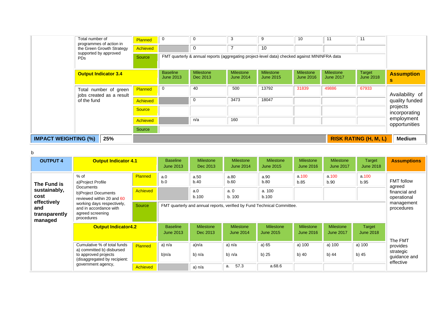|                                    | Total number of<br>programmes of action in                            | Planned         | 0                                   | 0                                                                                             | 3                                    | 9                                    | 10                                   | 11                                   | 11                           |                                                                                               |  |  |
|------------------------------------|-----------------------------------------------------------------------|-----------------|-------------------------------------|-----------------------------------------------------------------------------------------------|--------------------------------------|--------------------------------------|--------------------------------------|--------------------------------------|------------------------------|-----------------------------------------------------------------------------------------------|--|--|
|                                    | the Green Growth Strategy<br>supported by approved<br>PD <sub>s</sub> | <b>Achieved</b> |                                     | 0                                                                                             | $\overline{ }$                       | 10                                   |                                      |                                      |                              |                                                                                               |  |  |
|                                    |                                                                       | Source          |                                     | FMT quarterly & annual reports (aggregating project-level data) checked against MININFRA data |                                      |                                      |                                      |                                      |                              |                                                                                               |  |  |
|                                    | <b>Output Indicator 3.4</b>                                           |                 | <b>Baseline</b><br><b>June 2013</b> | <b>Milestone</b><br>Dec 2013                                                                  | <b>Milestone</b><br><b>June 2014</b> | <b>Milestone</b><br><b>June 2015</b> | <b>Milestone</b><br><b>June 2016</b> | <b>Milestone</b><br><b>June 2017</b> | Target<br><b>June 2018</b>   | <b>Assumption</b><br>s                                                                        |  |  |
|                                    | Total number of green<br>jobs created as a result<br>of the fund      | Planned         | 0                                   | 40                                                                                            | 500                                  | 13792                                | 31839                                | 49886                                | 67933                        | Availability of<br>quality funded<br>projects<br>incorporating<br>employment<br>opportunities |  |  |
|                                    |                                                                       | <b>Achieved</b> |                                     | 0                                                                                             | 3473                                 | 18047                                |                                      |                                      |                              |                                                                                               |  |  |
|                                    |                                                                       | <b>Source</b>   |                                     |                                                                                               |                                      |                                      |                                      |                                      |                              |                                                                                               |  |  |
|                                    |                                                                       | <b>Achieved</b> |                                     | n/a                                                                                           | 160                                  |                                      |                                      |                                      |                              |                                                                                               |  |  |
|                                    |                                                                       | Source          |                                     |                                                                                               |                                      |                                      |                                      |                                      |                              |                                                                                               |  |  |
| 25%<br><b>IMPACT WEIGHTING (%)</b> |                                                                       |                 |                                     |                                                                                               |                                      |                                      |                                      |                                      | <b>RISK RATING (H, M, L)</b> | <b>Medium</b>                                                                                 |  |  |

b

| <b>OUTPUT 4</b>                                                                       | <b>Output Indicator 4.1</b>                                                                                                                                                            |                 | <b>Baseline</b><br><b>June 2013</b> | <b>Milestone</b><br>Dec 2013                                            | <b>Milestone</b><br><b>June 2014</b> | <b>Milestone</b><br><b>June 2015</b> | <b>Milestone</b><br><b>June 2016</b> | <b>Milestone</b><br><b>June 2017</b> | Target<br><b>June 2018</b> | <b>Assumptions</b>                                          |
|---------------------------------------------------------------------------------------|----------------------------------------------------------------------------------------------------------------------------------------------------------------------------------------|-----------------|-------------------------------------|-------------------------------------------------------------------------|--------------------------------------|--------------------------------------|--------------------------------------|--------------------------------------|----------------------------|-------------------------------------------------------------|
| The Fund is<br>sustainably,<br>cost<br>effectively<br>and<br>transparently<br>managed | $%$ of<br>a)Project Profile<br>Documents<br>b)Project Documents<br>reviewed within 20 and 60<br>working days respectively,<br>and in accordance with<br>agreed screening<br>procedures | Planned         | a.0<br>b.0                          | a.50<br>b.40                                                            | a.80<br>b.60                         | a.90<br>b.80                         | a.100<br>b.85                        | a.100<br>b.90                        | a.100<br>b.95              | <b>FMT</b> follow<br>agreed<br>financial and<br>operational |
|                                                                                       |                                                                                                                                                                                        | <b>Achieved</b> |                                     | a.0<br>b.100                                                            | a.0<br>b. 100                        | a. 100<br>b.100                      |                                      |                                      |                            |                                                             |
|                                                                                       |                                                                                                                                                                                        | Source          |                                     | FMT quarterly and annual reports, verified by Fund Technical Committee. |                                      |                                      |                                      |                                      |                            |                                                             |
|                                                                                       | <b>Output Indicator4.2</b>                                                                                                                                                             |                 | <b>Baseline</b><br><b>June 2013</b> | <b>Milestone</b><br>Dec 2013                                            | <b>Milestone</b><br><b>June 2014</b> | <b>Milestone</b><br><b>June 2015</b> | <b>Milestone</b><br><b>June 2016</b> | <b>Milestone</b><br><b>June 2017</b> | Target<br><b>June 2018</b> | The FMT                                                     |
|                                                                                       | Cumulative % of total funds<br>a) committed b) disbursed<br>to approved projects<br>(disaggregated by recipient:<br>government agency,                                                 | Planned         | a) n/a<br>b)n/a                     | a)n/a<br>b) n/a                                                         | a) n/a<br>b) n/a                     | a) 65<br>b) 25                       | a) 100<br>b) 40                      | a) 100<br>b) 44                      | a) 100<br>b) 45            | provides<br>strategic<br>guidance and<br>effective          |
|                                                                                       |                                                                                                                                                                                        | <b>Achieved</b> |                                     | a) n/a                                                                  | 57.3<br>а.                           | a.68.6                               |                                      |                                      |                            |                                                             |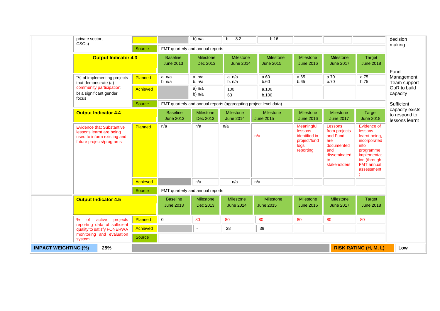|                                    | private sector,<br>CSO <sub>s</sub> )-                                                                                  |          |                                     | b) n/a                           | 8.2<br>b.                                                         | b.16                          |                                                                             |                                                                                                        |                                                                                                                                                | decision<br>making                                 |
|------------------------------------|-------------------------------------------------------------------------------------------------------------------------|----------|-------------------------------------|----------------------------------|-------------------------------------------------------------------|-------------------------------|-----------------------------------------------------------------------------|--------------------------------------------------------------------------------------------------------|------------------------------------------------------------------------------------------------------------------------------------------------|----------------------------------------------------|
|                                    |                                                                                                                         | Source   |                                     | FMT quarterly and annual reports |                                                                   |                               |                                                                             |                                                                                                        |                                                                                                                                                |                                                    |
|                                    | <b>Output Indicator 4.3</b>                                                                                             |          | <b>Baseline</b><br><b>June 2013</b> | Milestone<br>Dec 2013            | Milestone<br><b>June 2014</b>                                     | Milestone<br><b>June 2015</b> | Milestone<br><b>June 2016</b>                                               | Milestone<br><b>June 2017</b>                                                                          | Target<br><b>June 2018</b>                                                                                                                     | Fund                                               |
|                                    | "% of implementing projects<br>that demonstrate (a)                                                                     | Planned  | a. n/a<br>b. n/a                    | a. n/a<br>b. n/a                 | a. n/a<br>b. n/a                                                  | a.60<br>b.60                  | a.65<br>b.65                                                                | a.70<br>b.70                                                                                           | a.75<br>b.75                                                                                                                                   | Management<br>Team support                         |
|                                    | community participation;<br>b) a significant gender<br>focus                                                            | Achieved |                                     | a) n/a<br>b) $n/a$               | 100<br>63                                                         | a.100<br>b.100                |                                                                             |                                                                                                        |                                                                                                                                                | GoR to build<br>capacity                           |
|                                    |                                                                                                                         | Source   |                                     |                                  | FMT quarterly and annual reports (aggregating project level data) |                               |                                                                             |                                                                                                        |                                                                                                                                                | Sufficient                                         |
|                                    | <b>Output Indicator 4.4</b>                                                                                             |          | <b>Baseline</b><br><b>June 2013</b> | <b>Milestone</b><br>Dec 2013     | Milestone<br><b>June 2014</b>                                     | Milestone<br><b>June 2015</b> | <b>Milestone</b><br><b>June 2016</b>                                        | <b>Milestone</b><br><b>June 2017</b>                                                                   | <b>Target</b><br><b>June 2018</b>                                                                                                              | capacity exists<br>to respond to<br>lessons learnt |
|                                    | <b>Evidence that Substantive</b><br>lessons learnt are being<br>used to inform existing and<br>future projects/programs | Planned  | n/a                                 | n/a                              | n/a                                                               | n/a                           | Meaningful<br>lessons<br>identified in<br>project/fund<br>logs<br>reporting | Lessons<br>from projects<br>and Fund<br>are<br>documented<br>and<br>disseminated<br>to<br>stakeholders | Evidence of<br>lessons<br>learnt being,<br>incorporated<br>into<br>programme<br>implementat<br>ion (through<br><b>FMT</b> annual<br>assessment |                                                    |
|                                    |                                                                                                                         | Achieved |                                     | n/a                              | n/a                                                               | n/a                           |                                                                             |                                                                                                        |                                                                                                                                                |                                                    |
|                                    |                                                                                                                         | Source   | FMT quarterly and annual reports    |                                  |                                                                   |                               |                                                                             |                                                                                                        |                                                                                                                                                |                                                    |
|                                    | <b>Output Indicator 4.5</b>                                                                                             |          | <b>Baseline</b><br><b>June 2013</b> | Milestone<br>Dec 2013            | Milestone<br><b>June 2014</b>                                     | Milestone<br><b>June 2015</b> | Milestone<br><b>June 2016</b>                                               | Milestone<br><b>June 2017</b>                                                                          | <b>Target</b><br><b>June 2018</b>                                                                                                              |                                                    |
|                                    | $\%$<br>active<br><b>of</b><br>projects<br>reporting data of sufficient                                                 | Planned  | $\pmb{0}$                           | 80                               | 80                                                                | 80                            | 80                                                                          | 80                                                                                                     | 80                                                                                                                                             |                                                    |
|                                    | quality to satisfy FONERWA                                                                                              | Achieved |                                     | $\sim$                           | 28                                                                | 39                            |                                                                             |                                                                                                        |                                                                                                                                                |                                                    |
|                                    | monitoring and evaluation<br>system                                                                                     | Source   |                                     |                                  |                                                                   |                               |                                                                             |                                                                                                        |                                                                                                                                                |                                                    |
| 25%<br><b>IMPACT WEIGHTING (%)</b> |                                                                                                                         |          |                                     |                                  |                                                                   |                               |                                                                             |                                                                                                        | <b>RISK RATING (H, M, L)</b>                                                                                                                   | Low                                                |